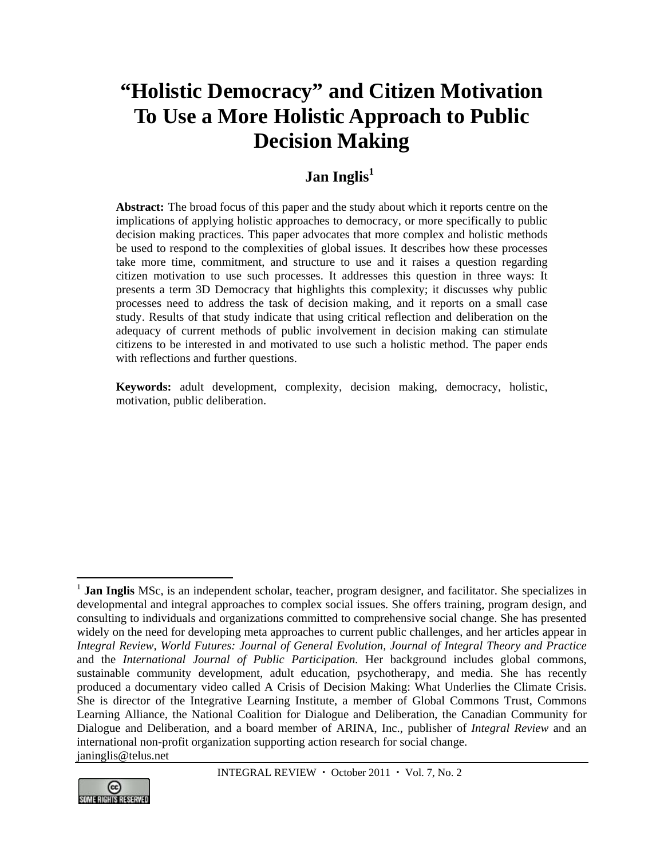# **"Holistic Democracy" and Citizen Motivation To Use a More Holistic Approach to Public Decision Making**

# Jan Inglis<sup>1</sup>

**Abstract:** The broad focus of this paper and the study about which it reports centre on the implications of applying holistic approaches to democracy, or more specifically to public decision making practices. This paper advocates that more complex and holistic methods be used to respond to the complexities of global issues. It describes how these processes take more time, commitment, and structure to use and it raises a question regarding citizen motivation to use such processes. It addresses this question in three ways: It presents a term 3D Democracy that highlights this complexity; it discusses why public processes need to address the task of decision making, and it reports on a small case study. Results of that study indicate that using critical reflection and deliberation on the adequacy of current methods of public involvement in decision making can stimulate citizens to be interested in and motivated to use such a holistic method. The paper ends with reflections and further questions.

**Keywords:** adult development, complexity, decision making, democracy, holistic, motivation, public deliberation.

<sup>&</sup>lt;sup>1</sup> **Jan Inglis** MSc, is an independent scholar, teacher, program designer, and facilitator. She specializes in developmental and integral approaches to complex social issues. She offers training, program design, and consulting to individuals and organizations committed to comprehensive social change. She has presented widely on the need for developing meta approaches to current public challenges, and her articles appear in *Integral Review, World Futures: Journal of General Evolution, Journal of Integral Theory and Practice*  and the *International Journal of Public Participation.* Her background includes global commons, sustainable community development, adult education, psychotherapy, and media. She has recently produced a documentary video called A Crisis of Decision Making: What Underlies the Climate Crisis. She is director of the Integrative Learning Institute, a member of Global Commons Trust, Commons Learning Alliance, the National Coalition for Dialogue and Deliberation, the Canadian Community for Dialogue and Deliberation, and a board member of ARINA, Inc., publisher of *Integral Review* and an international non-profit organization supporting action research for social change. janinglis@telus.net



 $\overline{a}$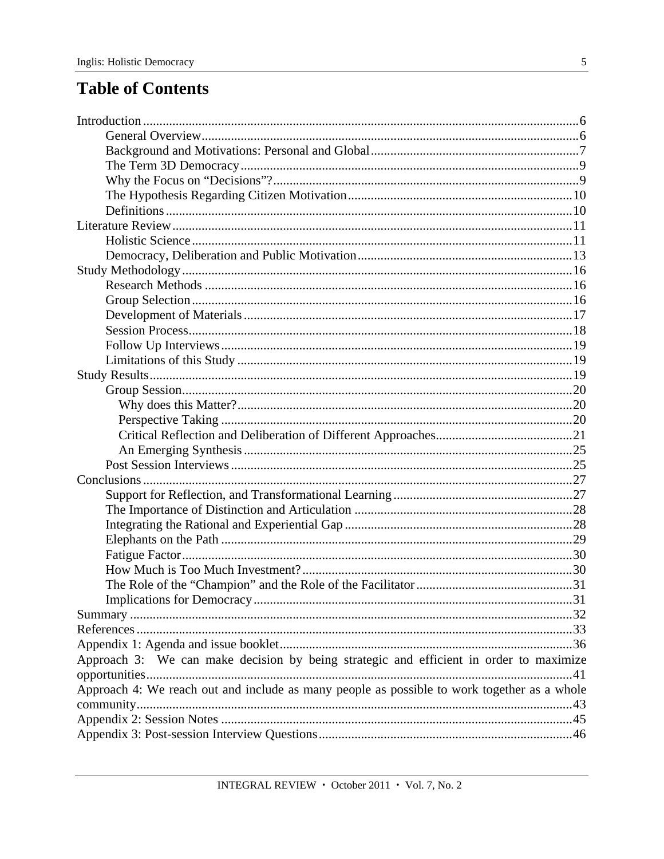# **Table of Contents**

| Approach 3: We can make decision by being strategic and efficient in order to maximize      |  |
|---------------------------------------------------------------------------------------------|--|
|                                                                                             |  |
| Approach 4: We reach out and include as many people as possible to work together as a whole |  |
|                                                                                             |  |
|                                                                                             |  |
|                                                                                             |  |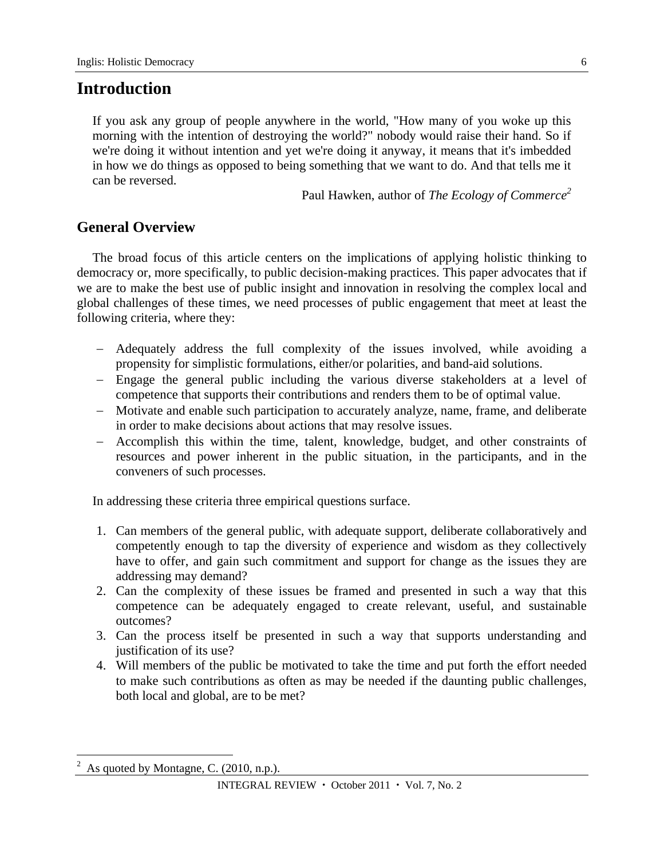## **Introduction**

If you ask any group of people anywhere in the world, "How many of you woke up this morning with the intention of destroying the world?" nobody would raise their hand. So if we're doing it without intention and yet we're doing it anyway, it means that it's imbedded in how we do things as opposed to being something that we want to do. And that tells me it can be reversed.

Paul Hawken, author of *The Ecology of Commerce2*

## **General Overview**

The broad focus of this article centers on the implications of applying holistic thinking to democracy or, more specifically, to public decision-making practices. This paper advocates that if we are to make the best use of public insight and innovation in resolving the complex local and global challenges of these times, we need processes of public engagement that meet at least the following criteria, where they:

- Adequately address the full complexity of the issues involved, while avoiding a propensity for simplistic formulations, either/or polarities, and band-aid solutions.
- Engage the general public including the various diverse stakeholders at a level of competence that supports their contributions and renders them to be of optimal value.
- Motivate and enable such participation to accurately analyze, name, frame, and deliberate in order to make decisions about actions that may resolve issues.
- Accomplish this within the time, talent, knowledge, budget, and other constraints of resources and power inherent in the public situation, in the participants, and in the conveners of such processes.

In addressing these criteria three empirical questions surface.

- 1. Can members of the general public, with adequate support, deliberate collaboratively and competently enough to tap the diversity of experience and wisdom as they collectively have to offer, and gain such commitment and support for change as the issues they are addressing may demand?
- 2. Can the complexity of these issues be framed and presented in such a way that this competence can be adequately engaged to create relevant, useful, and sustainable outcomes?
- 3. Can the process itself be presented in such a way that supports understanding and justification of its use?
- 4. Will members of the public be motivated to take the time and put forth the effort needed to make such contributions as often as may be needed if the daunting public challenges, both local and global, are to be met?

 $\overline{a}$ 

 $2^2$  As quoted by Montagne, C. (2010, n.p.).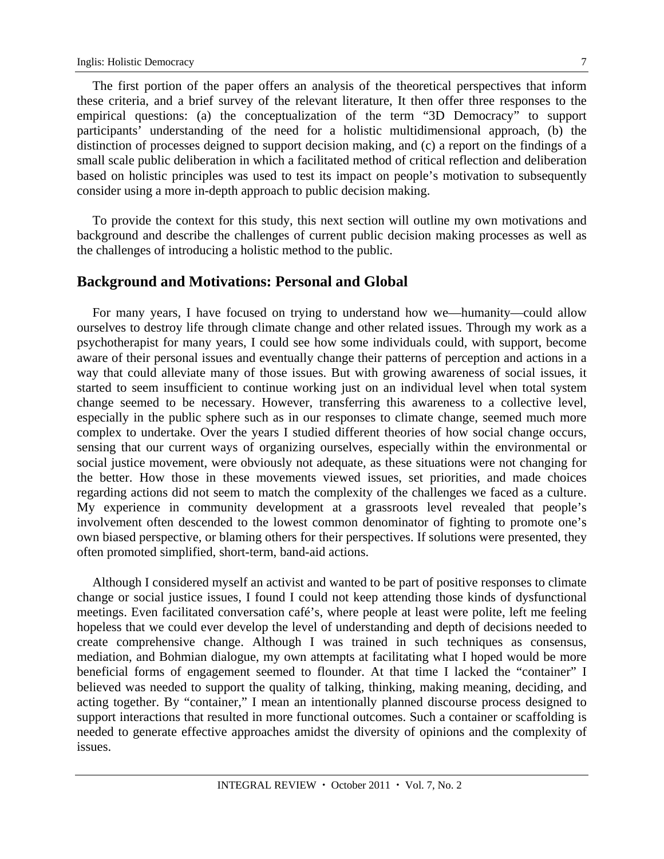The first portion of the paper offers an analysis of the theoretical perspectives that inform these criteria, and a brief survey of the relevant literature, It then offer three responses to the empirical questions: (a) the conceptualization of the term "3D Democracy" to support participants' understanding of the need for a holistic multidimensional approach, (b) the distinction of processes deigned to support decision making, and (c) a report on the findings of a small scale public deliberation in which a facilitated method of critical reflection and deliberation based on holistic principles was used to test its impact on people's motivation to subsequently consider using a more in-depth approach to public decision making.

To provide the context for this study, this next section will outline my own motivations and background and describe the challenges of current public decision making processes as well as the challenges of introducing a holistic method to the public.

### **Background and Motivations: Personal and Global**

For many years, I have focused on trying to understand how we—humanity—could allow ourselves to destroy life through climate change and other related issues. Through my work as a psychotherapist for many years, I could see how some individuals could, with support, become aware of their personal issues and eventually change their patterns of perception and actions in a way that could alleviate many of those issues. But with growing awareness of social issues, it started to seem insufficient to continue working just on an individual level when total system change seemed to be necessary. However, transferring this awareness to a collective level, especially in the public sphere such as in our responses to climate change, seemed much more complex to undertake. Over the years I studied different theories of how social change occurs, sensing that our current ways of organizing ourselves, especially within the environmental or social justice movement, were obviously not adequate, as these situations were not changing for the better. How those in these movements viewed issues, set priorities, and made choices regarding actions did not seem to match the complexity of the challenges we faced as a culture. My experience in community development at a grassroots level revealed that people's involvement often descended to the lowest common denominator of fighting to promote one's own biased perspective, or blaming others for their perspectives. If solutions were presented, they often promoted simplified, short-term, band-aid actions.

Although I considered myself an activist and wanted to be part of positive responses to climate change or social justice issues, I found I could not keep attending those kinds of dysfunctional meetings. Even facilitated conversation café's, where people at least were polite, left me feeling hopeless that we could ever develop the level of understanding and depth of decisions needed to create comprehensive change. Although I was trained in such techniques as consensus, mediation, and Bohmian dialogue, my own attempts at facilitating what I hoped would be more beneficial forms of engagement seemed to flounder. At that time I lacked the "container" I believed was needed to support the quality of talking, thinking, making meaning, deciding, and acting together. By "container," I mean an intentionally planned discourse process designed to support interactions that resulted in more functional outcomes. Such a container or scaffolding is needed to generate effective approaches amidst the diversity of opinions and the complexity of issues.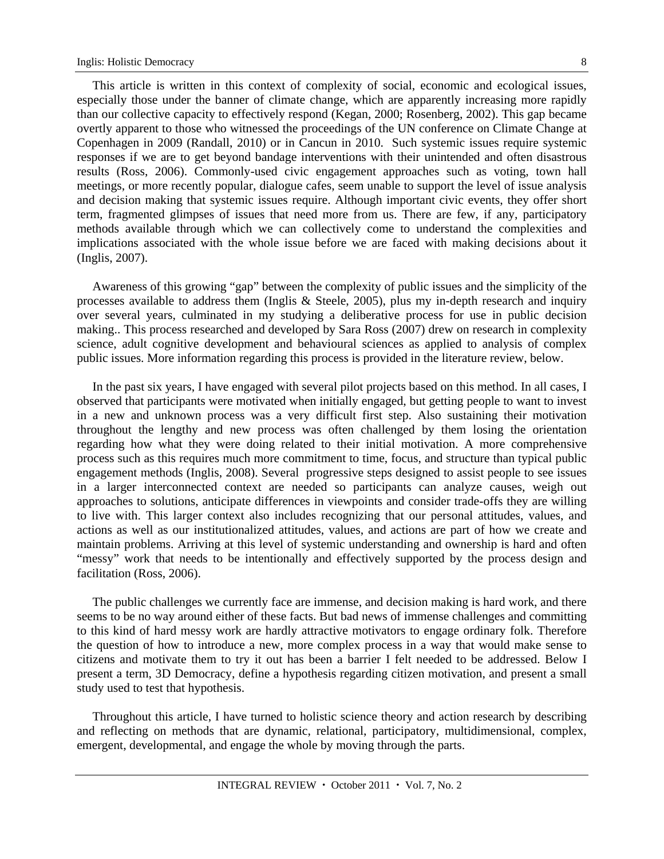This article is written in this context of complexity of social, economic and ecological issues, especially those under the banner of climate change, which are apparently increasing more rapidly than our collective capacity to effectively respond (Kegan, 2000; Rosenberg, 2002). This gap became overtly apparent to those who witnessed the proceedings of the UN conference on Climate Change at Copenhagen in 2009 (Randall, 2010) or in Cancun in 2010. Such systemic issues require systemic responses if we are to get beyond bandage interventions with their unintended and often disastrous results (Ross, 2006). Commonly-used civic engagement approaches such as voting, town hall meetings, or more recently popular, dialogue cafes, seem unable to support the level of issue analysis and decision making that systemic issues require. Although important civic events, they offer short term, fragmented glimpses of issues that need more from us. There are few, if any, participatory methods available through which we can collectively come to understand the complexities and implications associated with the whole issue before we are faced with making decisions about it (Inglis, 2007).

Awareness of this growing "gap" between the complexity of public issues and the simplicity of the processes available to address them (Inglis & Steele, 2005), plus my in-depth research and inquiry over several years, culminated in my studying a deliberative process for use in public decision making.. This process researched and developed by Sara Ross (2007) drew on research in complexity science, adult cognitive development and behavioural sciences as applied to analysis of complex public issues. More information regarding this process is provided in the literature review, below.

In the past six years, I have engaged with several pilot projects based on this method. In all cases, I observed that participants were motivated when initially engaged, but getting people to want to invest in a new and unknown process was a very difficult first step. Also sustaining their motivation throughout the lengthy and new process was often challenged by them losing the orientation regarding how what they were doing related to their initial motivation. A more comprehensive process such as this requires much more commitment to time, focus, and structure than typical public engagement methods (Inglis, 2008). Several progressive steps designed to assist people to see issues in a larger interconnected context are needed so participants can analyze causes, weigh out approaches to solutions, anticipate differences in viewpoints and consider trade-offs they are willing to live with. This larger context also includes recognizing that our personal attitudes, values, and actions as well as our institutionalized attitudes, values, and actions are part of how we create and maintain problems. Arriving at this level of systemic understanding and ownership is hard and often "messy" work that needs to be intentionally and effectively supported by the process design and facilitation (Ross, 2006).

The public challenges we currently face are immense, and decision making is hard work, and there seems to be no way around either of these facts. But bad news of immense challenges and committing to this kind of hard messy work are hardly attractive motivators to engage ordinary folk. Therefore the question of how to introduce a new, more complex process in a way that would make sense to citizens and motivate them to try it out has been a barrier I felt needed to be addressed. Below I present a term, 3D Democracy, define a hypothesis regarding citizen motivation, and present a small study used to test that hypothesis.

Throughout this article, I have turned to holistic science theory and action research by describing and reflecting on methods that are dynamic, relational, participatory, multidimensional, complex, emergent, developmental, and engage the whole by moving through the parts.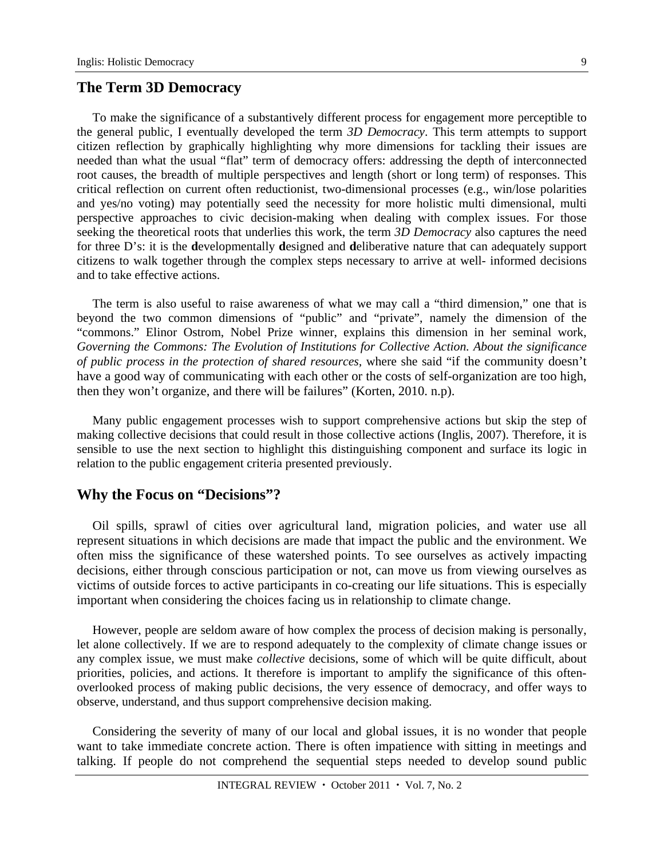### **The Term 3D Democracy**

To make the significance of a substantively different process for engagement more perceptible to the general public, I eventually developed the term *3D Democracy*. This term attempts to support citizen reflection by graphically highlighting why more dimensions for tackling their issues are needed than what the usual "flat" term of democracy offers: addressing the depth of interconnected root causes, the breadth of multiple perspectives and length (short or long term) of responses. This critical reflection on current often reductionist, two-dimensional processes (e.g., win/lose polarities and yes/no voting) may potentially seed the necessity for more holistic multi dimensional, multi perspective approaches to civic decision-making when dealing with complex issues. For those seeking the theoretical roots that underlies this work, the term *3D Democracy* also captures the need for three D's: it is the **d**evelopmentally **d**esigned and **d**eliberative nature that can adequately support citizens to walk together through the complex steps necessary to arrive at well- informed decisions and to take effective actions.

The term is also useful to raise awareness of what we may call a "third dimension," one that is beyond the two common dimensions of "public" and "private", namely the dimension of the "commons." Elinor Ostrom, Nobel Prize winner, explains this dimension in her seminal work, *Governing the Commons: The Evolution of Institutions for Collective Action. About the significance of public process in the protection of shared resources,* where she said "if the community doesn't have a good way of communicating with each other or the costs of self-organization are too high, then they won't organize, and there will be failures" (Korten, 2010. n.p).

Many public engagement processes wish to support comprehensive actions but skip the step of making collective decisions that could result in those collective actions (Inglis, 2007). Therefore, it is sensible to use the next section to highlight this distinguishing component and surface its logic in relation to the public engagement criteria presented previously.

### **Why the Focus on "Decisions"?**

Oil spills, sprawl of cities over agricultural land, migration policies, and water use all represent situations in which decisions are made that impact the public and the environment. We often miss the significance of these watershed points. To see ourselves as actively impacting decisions, either through conscious participation or not, can move us from viewing ourselves as victims of outside forces to active participants in co-creating our life situations. This is especially important when considering the choices facing us in relationship to climate change.

However, people are seldom aware of how complex the process of decision making is personally, let alone collectively. If we are to respond adequately to the complexity of climate change issues or any complex issue, we must make *collective* decisions, some of which will be quite difficult, about priorities, policies, and actions. It therefore is important to amplify the significance of this oftenoverlooked process of making public decisions, the very essence of democracy, and offer ways to observe, understand, and thus support comprehensive decision making.

Considering the severity of many of our local and global issues, it is no wonder that people want to take immediate concrete action. There is often impatience with sitting in meetings and talking. If people do not comprehend the sequential steps needed to develop sound public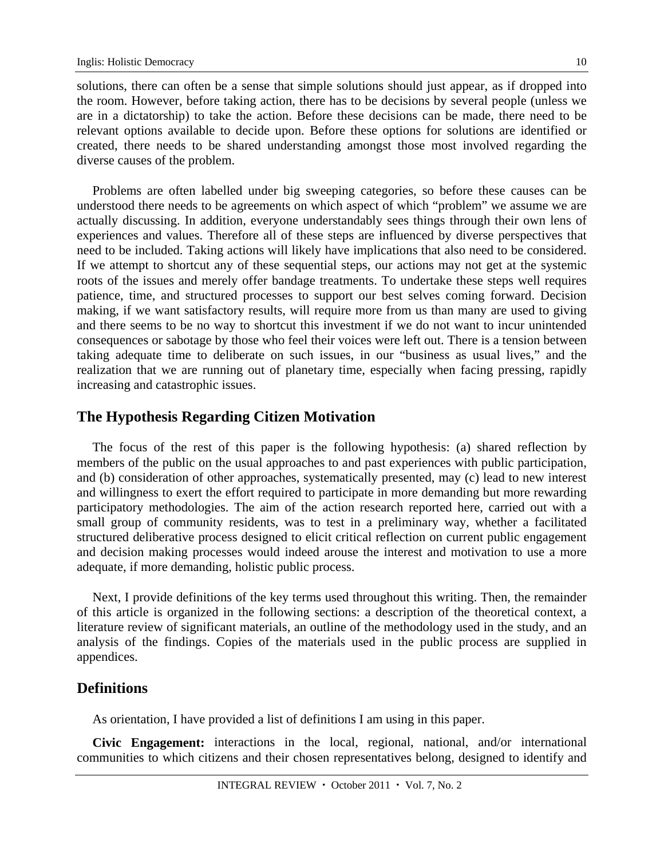solutions, there can often be a sense that simple solutions should just appear, as if dropped into the room. However, before taking action, there has to be decisions by several people (unless we are in a dictatorship) to take the action. Before these decisions can be made, there need to be relevant options available to decide upon. Before these options for solutions are identified or created, there needs to be shared understanding amongst those most involved regarding the diverse causes of the problem.

Problems are often labelled under big sweeping categories, so before these causes can be understood there needs to be agreements on which aspect of which "problem" we assume we are actually discussing. In addition, everyone understandably sees things through their own lens of experiences and values. Therefore all of these steps are influenced by diverse perspectives that need to be included. Taking actions will likely have implications that also need to be considered. If we attempt to shortcut any of these sequential steps, our actions may not get at the systemic roots of the issues and merely offer bandage treatments. To undertake these steps well requires patience, time, and structured processes to support our best selves coming forward. Decision making, if we want satisfactory results, will require more from us than many are used to giving and there seems to be no way to shortcut this investment if we do not want to incur unintended consequences or sabotage by those who feel their voices were left out. There is a tension between taking adequate time to deliberate on such issues, in our "business as usual lives," and the realization that we are running out of planetary time, especially when facing pressing, rapidly increasing and catastrophic issues.

### **The Hypothesis Regarding Citizen Motivation**

The focus of the rest of this paper is the following hypothesis: (a) shared reflection by members of the public on the usual approaches to and past experiences with public participation, and (b) consideration of other approaches, systematically presented, may (c) lead to new interest and willingness to exert the effort required to participate in more demanding but more rewarding participatory methodologies. The aim of the action research reported here, carried out with a small group of community residents, was to test in a preliminary way, whether a facilitated structured deliberative process designed to elicit critical reflection on current public engagement and decision making processes would indeed arouse the interest and motivation to use a more adequate, if more demanding, holistic public process.

Next, I provide definitions of the key terms used throughout this writing. Then, the remainder of this article is organized in the following sections: a description of the theoretical context, a literature review of significant materials, an outline of the methodology used in the study, and an analysis of the findings. Copies of the materials used in the public process are supplied in appendices.

## **Definitions**

As orientation, I have provided a list of definitions I am using in this paper.

**Civic Engagement:** interactions in the local, regional, national, and/or international communities to which citizens and their chosen representatives belong, designed to identify and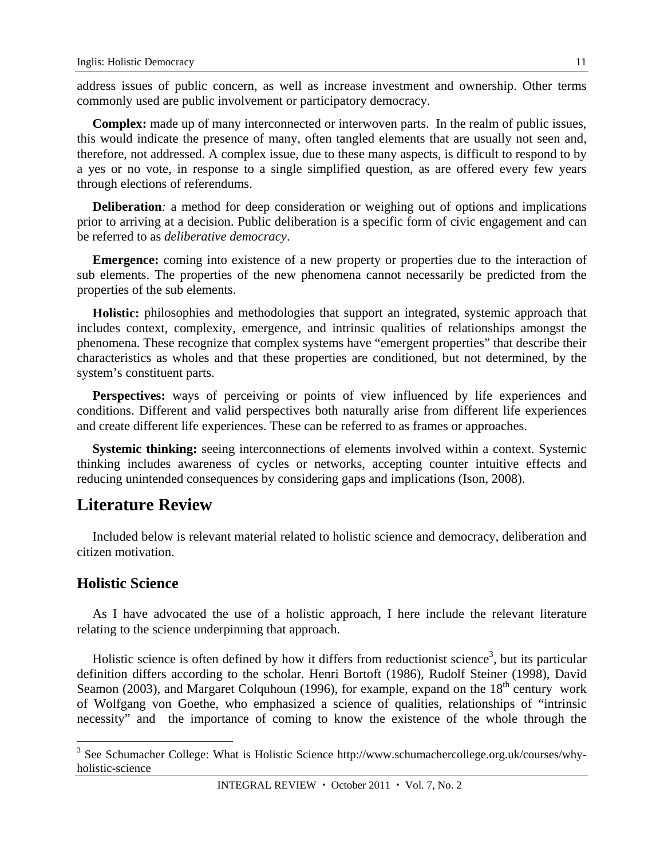address issues of public concern, as well as increase investment and ownership. Other terms commonly used are public involvement or participatory democracy.

**Complex:** made up of many interconnected or interwoven parts. In the realm of public issues, this would indicate the presence of many, often tangled elements that are usually not seen and, therefore, not addressed. A complex issue, due to these many aspects, is difficult to respond to by a yes or no vote, in response to a single simplified question, as are offered every few years through elections of referendums.

**Deliberation***:* a method for deep consideration or weighing out of options and implications prior to arriving at a decision. Public deliberation is a specific form of civic engagement and can be referred to as *deliberative democracy*.

**Emergence:** coming into existence of a new property or properties due to the interaction of sub elements. The properties of the new phenomena cannot necessarily be predicted from the properties of the sub elements.

**Holistic:** philosophies and methodologies that support an integrated, systemic approach that includes context, complexity, emergence, and intrinsic qualities of relationships amongst the phenomena. These recognize that complex systems have "emergent properties" that describe their characteristics as wholes and that these properties are conditioned, but not determined, by the system's constituent parts.

Perspectives: ways of perceiving or points of view influenced by life experiences and conditions. Different and valid perspectives both naturally arise from different life experiences and create different life experiences. These can be referred to as frames or approaches.

**Systemic thinking:** seeing interconnections of elements involved within a context. Systemic thinking includes awareness of cycles or networks, accepting counter intuitive effects and reducing unintended consequences by considering gaps and implications (Ison, 2008).

## **Literature Review**

Included below is relevant material related to holistic science and democracy, deliberation and citizen motivation.

### **Holistic Science**

 $\overline{a}$ 

As I have advocated the use of a holistic approach, I here include the relevant literature relating to the science underpinning that approach.

Holistic science is often defined by how it differs from reductionist science<sup>3</sup>, but its particular definition differs according to the scholar. Henri Bortoft (1986), Rudolf Steiner (1998), David Seamon (2003), and Margaret Colquhoun (1996), for example, expand on the 18<sup>th</sup> century work of Wolfgang von Goethe, who emphasized a science of qualities, relationships of "intrinsic necessity" and the importance of coming to know the existence of the whole through the

<sup>&</sup>lt;sup>3</sup> See Schumacher College: What is Holistic Science http://www.schumachercollege.org.uk/courses/whyholistic-science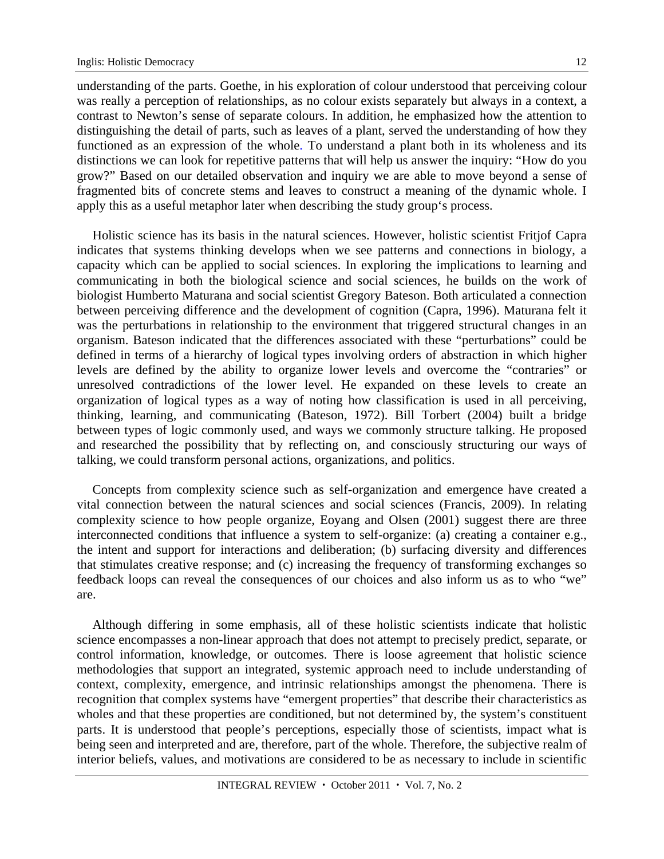understanding of the parts. Goethe, in his exploration of colour understood that perceiving colour was really a perception of relationships, as no colour exists separately but always in a context, a contrast to Newton's sense of separate colours. In addition, he emphasized how the attention to distinguishing the detail of parts, such as leaves of a plant, served the understanding of how they functioned as an expression of the whole. To understand a plant both in its wholeness and its distinctions we can look for repetitive patterns that will help us answer the inquiry: "How do you grow?" Based on our detailed observation and inquiry we are able to move beyond a sense of fragmented bits of concrete stems and leaves to construct a meaning of the dynamic whole. I apply this as a useful metaphor later when describing the study group's process.

Holistic science has its basis in the natural sciences. However, holistic scientist Fritjof Capra indicates that systems thinking develops when we see patterns and connections in biology, a capacity which can be applied to social sciences. In exploring the implications to learning and communicating in both the biological science and social sciences, he builds on the work of biologist Humberto Maturana and social scientist Gregory Bateson. Both articulated a connection between perceiving difference and the development of cognition (Capra, 1996). Maturana felt it was the perturbations in relationship to the environment that triggered structural changes in an organism. Bateson indicated that the differences associated with these "perturbations" could be defined in terms of a hierarchy of logical types involving orders of abstraction in which higher levels are defined by the ability to organize lower levels and overcome the "contraries" or unresolved contradictions of the lower level. He expanded on these levels to create an organization of logical types as a way of noting how classification is used in all perceiving, thinking, learning, and communicating (Bateson, 1972). Bill Torbert (2004) built a bridge between types of logic commonly used, and ways we commonly structure talking. He proposed and researched the possibility that by reflecting on, and consciously structuring our ways of talking, we could transform personal actions, organizations, and politics.

Concepts from complexity science such as self-organization and emergence have created a vital connection between the natural sciences and social sciences (Francis, 2009). In relating complexity science to how people organize, Eoyang and Olsen (2001) suggest there are three interconnected conditions that influence a system to self-organize: (a) creating a container e.g., the intent and support for interactions and deliberation; (b) surfacing diversity and differences that stimulates creative response; and (c) increasing the frequency of transforming exchanges so feedback loops can reveal the consequences of our choices and also inform us as to who "we" are.

Although differing in some emphasis, all of these holistic scientists indicate that holistic science encompasses a non-linear approach that does not attempt to precisely predict, separate, or control information, knowledge, or outcomes. There is loose agreement that holistic science methodologies that support an integrated, systemic approach need to include understanding of context, complexity, emergence, and intrinsic relationships amongst the phenomena. There is recognition that complex systems have "emergent properties" that describe their characteristics as wholes and that these properties are conditioned, but not determined by, the system's constituent parts. It is understood that people's perceptions, especially those of scientists, impact what is being seen and interpreted and are, therefore, part of the whole. Therefore, the subjective realm of interior beliefs, values, and motivations are considered to be as necessary to include in scientific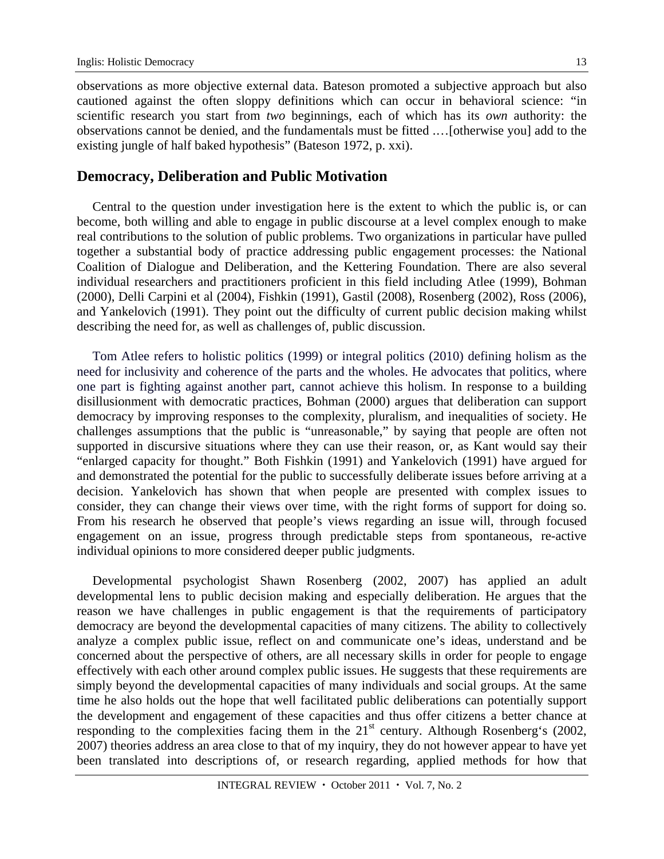observations as more objective external data. Bateson promoted a subjective approach but also cautioned against the often sloppy definitions which can occur in behavioral science: "in scientific research you start from *two* beginnings, each of which has its *own* authority: the observations cannot be denied, and the fundamentals must be fitted .…[otherwise you] add to the existing jungle of half baked hypothesis" (Bateson 1972, p. xxi).

### **Democracy, Deliberation and Public Motivation**

Central to the question under investigation here is the extent to which the public is, or can become, both willing and able to engage in public discourse at a level complex enough to make real contributions to the solution of public problems. Two organizations in particular have pulled together a substantial body of practice addressing public engagement processes: the National Coalition of Dialogue and Deliberation, and the Kettering Foundation. There are also several individual researchers and practitioners proficient in this field including Atlee (1999), Bohman (2000), Delli Carpini et al (2004), Fishkin (1991), Gastil (2008), Rosenberg (2002), Ross (2006), and Yankelovich (1991). They point out the difficulty of current public decision making whilst describing the need for, as well as challenges of, public discussion.

Tom Atlee refers to holistic politics (1999) or integral politics (2010) defining holism as the need for inclusivity and coherence of the parts and the wholes. He advocates that politics, where one part is fighting against another part, cannot achieve this holism. In response to a building disillusionment with democratic practices, Bohman (2000) argues that deliberation can support democracy by improving responses to the complexity, pluralism, and inequalities of society. He challenges assumptions that the public is "unreasonable," by saying that people are often not supported in discursive situations where they can use their reason, or, as Kant would say their "enlarged capacity for thought." Both Fishkin (1991) and Yankelovich (1991) have argued for and demonstrated the potential for the public to successfully deliberate issues before arriving at a decision. Yankelovich has shown that when people are presented with complex issues to consider, they can change their views over time, with the right forms of support for doing so. From his research he observed that people's views regarding an issue will, through focused engagement on an issue, progress through predictable steps from spontaneous, re-active individual opinions to more considered deeper public judgments.

Developmental psychologist Shawn Rosenberg (2002, 2007) has applied an adult developmental lens to public decision making and especially deliberation. He argues that the reason we have challenges in public engagement is that the requirements of participatory democracy are beyond the developmental capacities of many citizens. The ability to collectively analyze a complex public issue, reflect on and communicate one's ideas, understand and be concerned about the perspective of others, are all necessary skills in order for people to engage effectively with each other around complex public issues. He suggests that these requirements are simply beyond the developmental capacities of many individuals and social groups. At the same time he also holds out the hope that well facilitated public deliberations can potentially support the development and engagement of these capacities and thus offer citizens a better chance at responding to the complexities facing them in the 21<sup>st</sup> century. Although Rosenberg's (2002, 2007) theories address an area close to that of my inquiry, they do not however appear to have yet been translated into descriptions of, or research regarding, applied methods for how that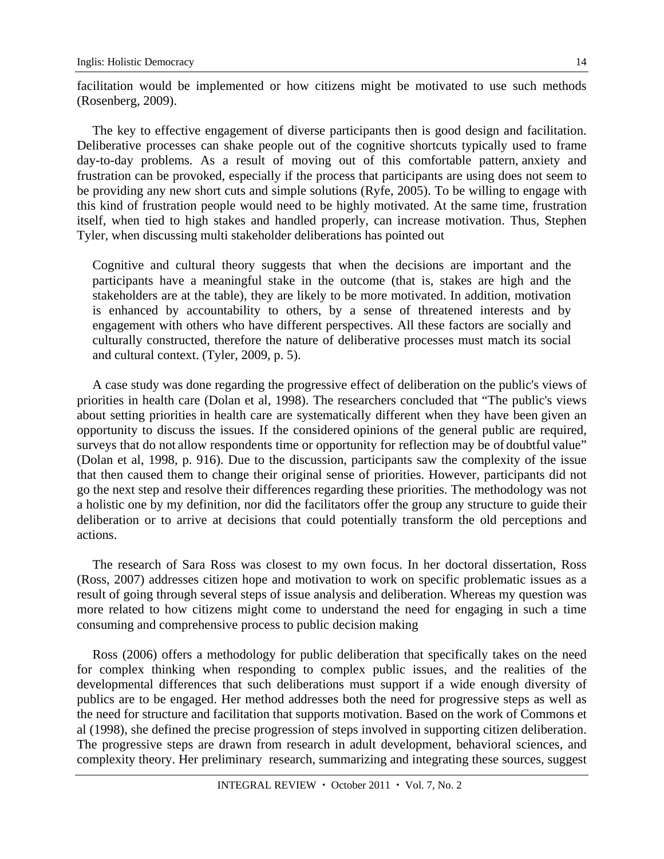facilitation would be implemented or how citizens might be motivated to use such methods (Rosenberg, 2009).

The key to effective engagement of diverse participants then is good design and facilitation. Deliberative processes can shake people out of the cognitive shortcuts typically used to frame day-to-day problems. As a result of moving out of this comfortable pattern, anxiety and frustration can be provoked, especially if the process that participants are using does not seem to be providing any new short cuts and simple solutions (Ryfe, 2005). To be willing to engage with this kind of frustration people would need to be highly motivated. At the same time, frustration itself, when tied to high stakes and handled properly, can increase motivation. Thus, Stephen Tyler, when discussing multi stakeholder deliberations has pointed out

Cognitive and cultural theory suggests that when the decisions are important and the participants have a meaningful stake in the outcome (that is, stakes are high and the stakeholders are at the table), they are likely to be more motivated. In addition, motivation is enhanced by accountability to others, by a sense of threatened interests and by engagement with others who have different perspectives. All these factors are socially and culturally constructed, therefore the nature of deliberative processes must match its social and cultural context. (Tyler, 2009, p. 5).

A case study was done regarding the progressive effect of deliberation on the public's views of priorities in health care (Dolan et al, 1998). The researchers concluded that "The public's views about setting priorities in health care are systematically different when they have been given an opportunity to discuss the issues. If the considered opinions of the general public are required, surveys that do not allow respondents time or opportunity for reflection may be of doubtful value" (Dolan et al, 1998, p. 916). Due to the discussion, participants saw the complexity of the issue that then caused them to change their original sense of priorities. However, participants did not go the next step and resolve their differences regarding these priorities. The methodology was not a holistic one by my definition, nor did the facilitators offer the group any structure to guide their deliberation or to arrive at decisions that could potentially transform the old perceptions and actions.

The research of Sara Ross was closest to my own focus. In her doctoral dissertation, Ross (Ross, 2007) addresses citizen hope and motivation to work on specific problematic issues as a result of going through several steps of issue analysis and deliberation. Whereas my question was more related to how citizens might come to understand the need for engaging in such a time consuming and comprehensive process to public decision making

Ross (2006) offers a methodology for public deliberation that specifically takes on the need for complex thinking when responding to complex public issues, and the realities of the developmental differences that such deliberations must support if a wide enough diversity of publics are to be engaged. Her method addresses both the need for progressive steps as well as the need for structure and facilitation that supports motivation. Based on the work of Commons et al (1998), she defined the precise progression of steps involved in supporting citizen deliberation. The progressive steps are drawn from research in adult development, behavioral sciences, and complexity theory. Her preliminary research, summarizing and integrating these sources, suggest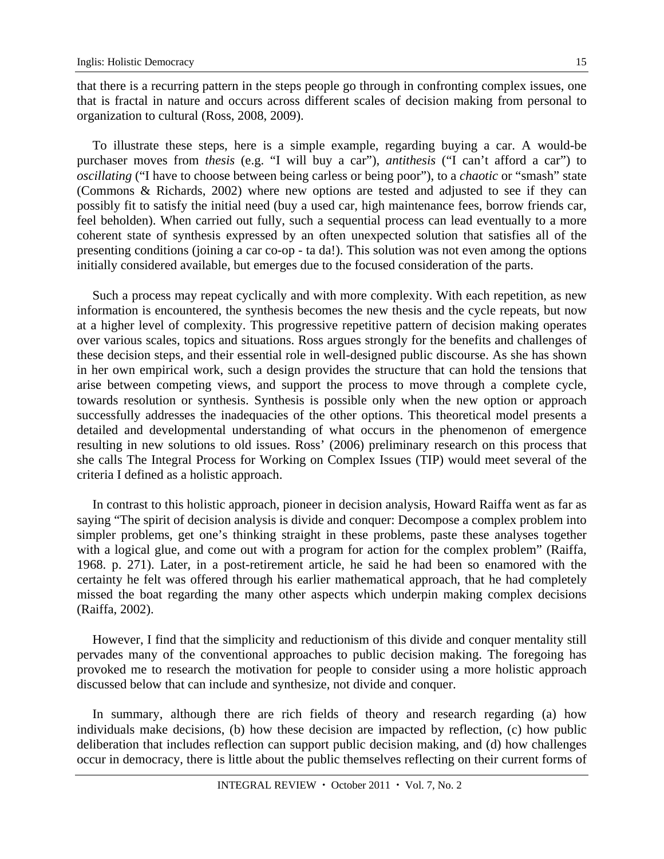that there is a recurring pattern in the steps people go through in confronting complex issues, one that is fractal in nature and occurs across different scales of decision making from personal to organization to cultural (Ross, 2008, 2009).

To illustrate these steps, here is a simple example, regarding buying a car. A would-be purchaser moves from *thesis* (e.g. "I will buy a car"), *antithesis* ("I can't afford a car") to *oscillating* ("I have to choose between being carless or being poor"), to a *chaotic* or "smash" state (Commons & Richards, 2002) where new options are tested and adjusted to see if they can possibly fit to satisfy the initial need (buy a used car, high maintenance fees, borrow friends car, feel beholden). When carried out fully, such a sequential process can lead eventually to a more coherent state of synthesis expressed by an often unexpected solution that satisfies all of the presenting conditions (joining a car co-op - ta da!). This solution was not even among the options initially considered available, but emerges due to the focused consideration of the parts.

Such a process may repeat cyclically and with more complexity. With each repetition, as new information is encountered, the synthesis becomes the new thesis and the cycle repeats, but now at a higher level of complexity. This progressive repetitive pattern of decision making operates over various scales, topics and situations. Ross argues strongly for the benefits and challenges of these decision steps, and their essential role in well-designed public discourse. As she has shown in her own empirical work, such a design provides the structure that can hold the tensions that arise between competing views, and support the process to move through a complete cycle, towards resolution or synthesis. Synthesis is possible only when the new option or approach successfully addresses the inadequacies of the other options. This theoretical model presents a detailed and developmental understanding of what occurs in the phenomenon of emergence resulting in new solutions to old issues. Ross' (2006) preliminary research on this process that she calls The Integral Process for Working on Complex Issues (TIP) would meet several of the criteria I defined as a holistic approach.

In contrast to this holistic approach, pioneer in decision analysis, Howard Raiffa went as far as saying "The spirit of decision analysis is divide and conquer: Decompose a complex problem into simpler problems, get one's thinking straight in these problems, paste these analyses together with a logical glue, and come out with a program for action for the complex problem" (Raiffa, 1968. p. 271). Later, in a post-retirement article, he said he had been so enamored with the certainty he felt was offered through his earlier mathematical approach, that he had completely missed the boat regarding the many other aspects which underpin making complex decisions (Raiffa, 2002).

However, I find that the simplicity and reductionism of this divide and conquer mentality still pervades many of the conventional approaches to public decision making. The foregoing has provoked me to research the motivation for people to consider using a more holistic approach discussed below that can include and synthesize, not divide and conquer.

In summary, although there are rich fields of theory and research regarding (a) how individuals make decisions, (b) how these decision are impacted by reflection, (c) how public deliberation that includes reflection can support public decision making, and (d) how challenges occur in democracy, there is little about the public themselves reflecting on their current forms of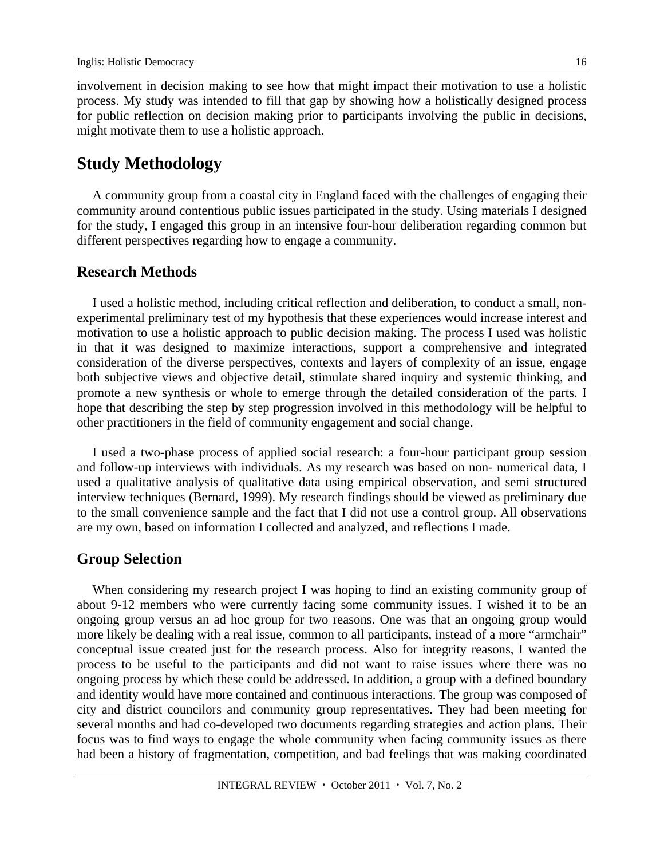involvement in decision making to see how that might impact their motivation to use a holistic process. My study was intended to fill that gap by showing how a holistically designed process for public reflection on decision making prior to participants involving the public in decisions, might motivate them to use a holistic approach.

## **Study Methodology**

A community group from a coastal city in England faced with the challenges of engaging their community around contentious public issues participated in the study. Using materials I designed for the study, I engaged this group in an intensive four-hour deliberation regarding common but different perspectives regarding how to engage a community.

### **Research Methods**

I used a holistic method, including critical reflection and deliberation, to conduct a small, nonexperimental preliminary test of my hypothesis that these experiences would increase interest and motivation to use a holistic approach to public decision making. The process I used was holistic in that it was designed to maximize interactions, support a comprehensive and integrated consideration of the diverse perspectives, contexts and layers of complexity of an issue, engage both subjective views and objective detail, stimulate shared inquiry and systemic thinking, and promote a new synthesis or whole to emerge through the detailed consideration of the parts. I hope that describing the step by step progression involved in this methodology will be helpful to other practitioners in the field of community engagement and social change.

I used a two-phase process of applied social research: a four-hour participant group session and follow-up interviews with individuals. As my research was based on non- numerical data, I used a qualitative analysis of qualitative data using empirical observation, and semi structured interview techniques (Bernard, 1999). My research findings should be viewed as preliminary due to the small convenience sample and the fact that I did not use a control group. All observations are my own, based on information I collected and analyzed, and reflections I made.

### **Group Selection**

When considering my research project I was hoping to find an existing community group of about 9-12 members who were currently facing some community issues. I wished it to be an ongoing group versus an ad hoc group for two reasons. One was that an ongoing group would more likely be dealing with a real issue, common to all participants, instead of a more "armchair" conceptual issue created just for the research process. Also for integrity reasons, I wanted the process to be useful to the participants and did not want to raise issues where there was no ongoing process by which these could be addressed. In addition, a group with a defined boundary and identity would have more contained and continuous interactions. The group was composed of city and district councilors and community group representatives. They had been meeting for several months and had co-developed two documents regarding strategies and action plans. Their focus was to find ways to engage the whole community when facing community issues as there had been a history of fragmentation, competition, and bad feelings that was making coordinated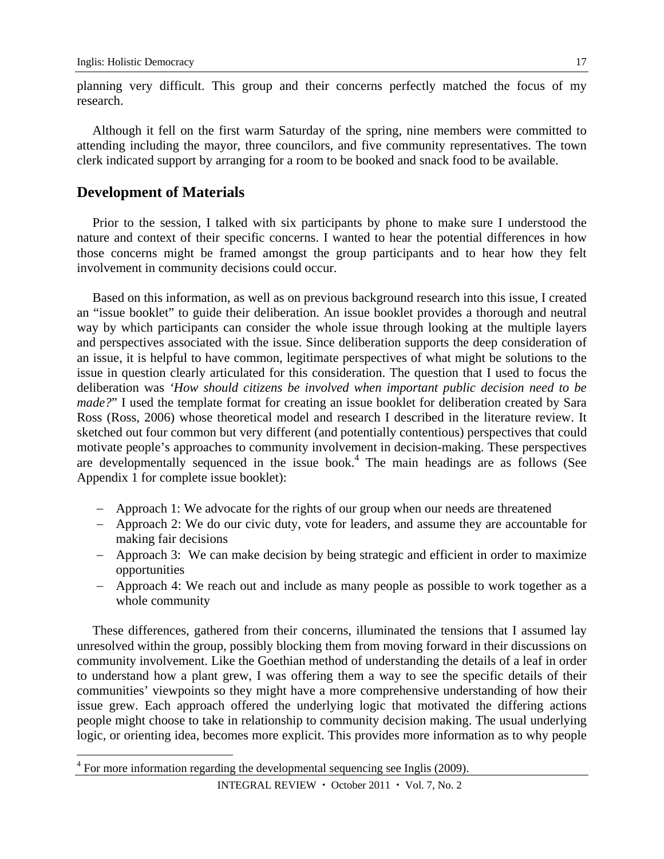planning very difficult. This group and their concerns perfectly matched the focus of my research.

Although it fell on the first warm Saturday of the spring, nine members were committed to attending including the mayor, three councilors, and five community representatives. The town clerk indicated support by arranging for a room to be booked and snack food to be available.

### **Development of Materials**

 $\overline{a}$ 

Prior to the session, I talked with six participants by phone to make sure I understood the nature and context of their specific concerns. I wanted to hear the potential differences in how those concerns might be framed amongst the group participants and to hear how they felt involvement in community decisions could occur.

Based on this information, as well as on previous background research into this issue, I created an "issue booklet" to guide their deliberation. An issue booklet provides a thorough and neutral way by which participants can consider the whole issue through looking at the multiple layers and perspectives associated with the issue. Since deliberation supports the deep consideration of an issue, it is helpful to have common, legitimate perspectives of what might be solutions to the issue in question clearly articulated for this consideration. The question that I used to focus the deliberation was *'How should citizens be involved when important public decision need to be made?*" I used the template format for creating an issue booklet for deliberation created by Sara Ross (Ross, 2006) whose theoretical model and research I described in the literature review. It sketched out four common but very different (and potentially contentious) perspectives that could motivate people's approaches to community involvement in decision-making. These perspectives are developmentally sequenced in the issue book.<sup>4</sup> The main headings are as follows (See Appendix 1 for complete issue booklet):

- Approach 1: We advocate for the rights of our group when our needs are threatened
- Approach 2: We do our civic duty, vote for leaders, and assume they are accountable for making fair decisions
- Approach 3: We can make decision by being strategic and efficient in order to maximize opportunities
- Approach 4: We reach out and include as many people as possible to work together as a whole community

These differences, gathered from their concerns, illuminated the tensions that I assumed lay unresolved within the group, possibly blocking them from moving forward in their discussions on community involvement. Like the Goethian method of understanding the details of a leaf in order to understand how a plant grew, I was offering them a way to see the specific details of their communities' viewpoints so they might have a more comprehensive understanding of how their issue grew. Each approach offered the underlying logic that motivated the differing actions people might choose to take in relationship to community decision making. The usual underlying logic, or orienting idea, becomes more explicit. This provides more information as to why people

 $4$  For more information regarding the developmental sequencing see Inglis (2009).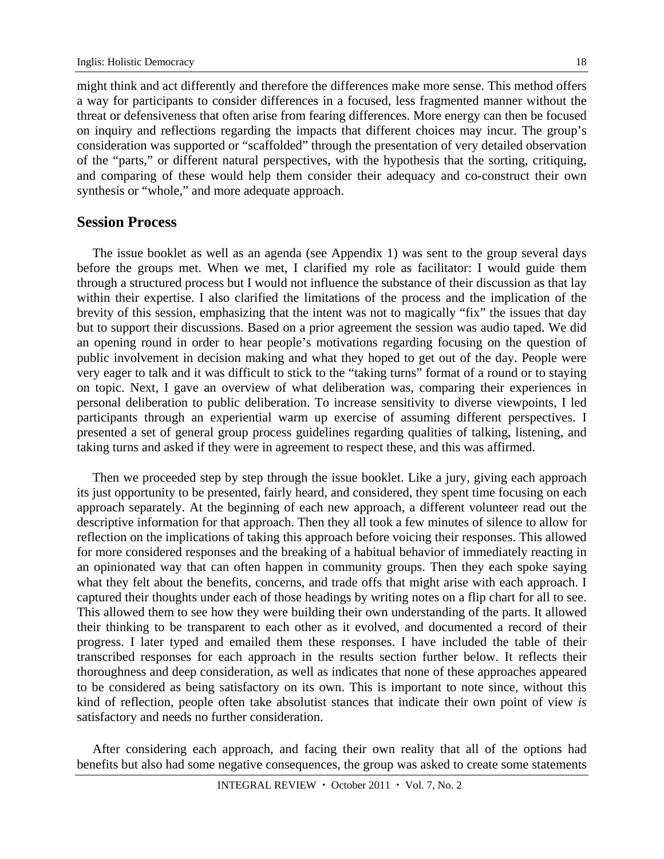might think and act differently and therefore the differences make more sense. This method offers a way for participants to consider differences in a focused, less fragmented manner without the threat or defensiveness that often arise from fearing differences. More energy can then be focused on inquiry and reflections regarding the impacts that different choices may incur. The group's consideration was supported or "scaffolded" through the presentation of very detailed observation of the "parts," or different natural perspectives, with the hypothesis that the sorting, critiquing, and comparing of these would help them consider their adequacy and co-construct their own synthesis or "whole," and more adequate approach.

### **Session Process**

The issue booklet as well as an agenda (see Appendix 1) was sent to the group several days before the groups met. When we met, I clarified my role as facilitator: I would guide them through a structured process but I would not influence the substance of their discussion as that lay within their expertise. I also clarified the limitations of the process and the implication of the brevity of this session, emphasizing that the intent was not to magically "fix" the issues that day but to support their discussions. Based on a prior agreement the session was audio taped. We did an opening round in order to hear people's motivations regarding focusing on the question of public involvement in decision making and what they hoped to get out of the day. People were very eager to talk and it was difficult to stick to the "taking turns" format of a round or to staying on topic. Next, I gave an overview of what deliberation was, comparing their experiences in personal deliberation to public deliberation. To increase sensitivity to diverse viewpoints, I led participants through an experiential warm up exercise of assuming different perspectives. I presented a set of general group process guidelines regarding qualities of talking, listening, and taking turns and asked if they were in agreement to respect these, and this was affirmed.

Then we proceeded step by step through the issue booklet. Like a jury, giving each approach its just opportunity to be presented, fairly heard, and considered, they spent time focusing on each approach separately. At the beginning of each new approach, a different volunteer read out the descriptive information for that approach. Then they all took a few minutes of silence to allow for reflection on the implications of taking this approach before voicing their responses. This allowed for more considered responses and the breaking of a habitual behavior of immediately reacting in an opinionated way that can often happen in community groups. Then they each spoke saying what they felt about the benefits, concerns, and trade offs that might arise with each approach. I captured their thoughts under each of those headings by writing notes on a flip chart for all to see. This allowed them to see how they were building their own understanding of the parts. It allowed their thinking to be transparent to each other as it evolved, and documented a record of their progress. I later typed and emailed them these responses. I have included the table of their transcribed responses for each approach in the results section further below. It reflects their thoroughness and deep consideration, as well as indicates that none of these approaches appeared to be considered as being satisfactory on its own. This is important to note since, without this kind of reflection, people often take absolutist stances that indicate their own point of view *is* satisfactory and needs no further consideration.

After considering each approach, and facing their own reality that all of the options had benefits but also had some negative consequences, the group was asked to create some statements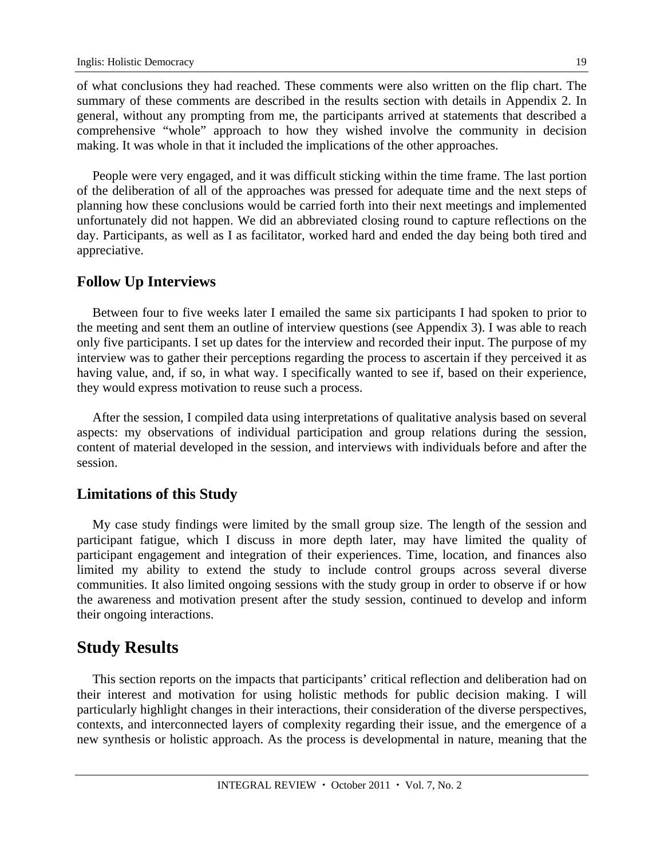of what conclusions they had reached. These comments were also written on the flip chart. The summary of these comments are described in the results section with details in Appendix 2. In general, without any prompting from me, the participants arrived at statements that described a comprehensive "whole" approach to how they wished involve the community in decision making. It was whole in that it included the implications of the other approaches.

People were very engaged, and it was difficult sticking within the time frame. The last portion of the deliberation of all of the approaches was pressed for adequate time and the next steps of planning how these conclusions would be carried forth into their next meetings and implemented unfortunately did not happen. We did an abbreviated closing round to capture reflections on the day. Participants, as well as I as facilitator, worked hard and ended the day being both tired and appreciative.

### **Follow Up Interviews**

Between four to five weeks later I emailed the same six participants I had spoken to prior to the meeting and sent them an outline of interview questions (see Appendix 3). I was able to reach only five participants. I set up dates for the interview and recorded their input. The purpose of my interview was to gather their perceptions regarding the process to ascertain if they perceived it as having value, and, if so, in what way. I specifically wanted to see if, based on their experience, they would express motivation to reuse such a process.

After the session, I compiled data using interpretations of qualitative analysis based on several aspects: my observations of individual participation and group relations during the session, content of material developed in the session, and interviews with individuals before and after the session.

### **Limitations of this Study**

My case study findings were limited by the small group size. The length of the session and participant fatigue, which I discuss in more depth later, may have limited the quality of participant engagement and integration of their experiences. Time, location, and finances also limited my ability to extend the study to include control groups across several diverse communities. It also limited ongoing sessions with the study group in order to observe if or how the awareness and motivation present after the study session, continued to develop and inform their ongoing interactions.

## **Study Results**

This section reports on the impacts that participants' critical reflection and deliberation had on their interest and motivation for using holistic methods for public decision making. I will particularly highlight changes in their interactions, their consideration of the diverse perspectives, contexts, and interconnected layers of complexity regarding their issue, and the emergence of a new synthesis or holistic approach. As the process is developmental in nature, meaning that the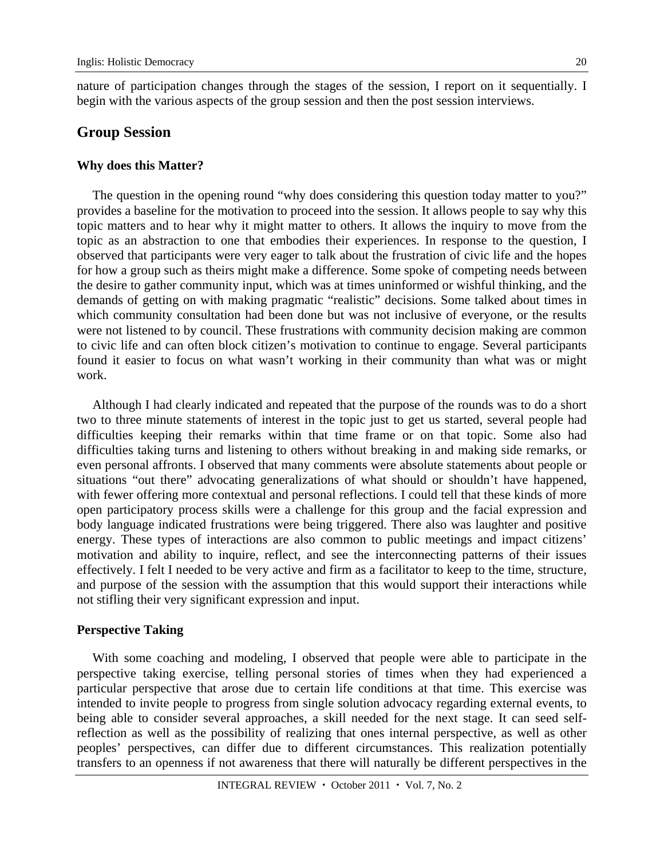nature of participation changes through the stages of the session, I report on it sequentially. I begin with the various aspects of the group session and then the post session interviews.

### **Group Session**

#### **Why does this Matter?**

The question in the opening round "why does considering this question today matter to you?" provides a baseline for the motivation to proceed into the session. It allows people to say why this topic matters and to hear why it might matter to others. It allows the inquiry to move from the topic as an abstraction to one that embodies their experiences. In response to the question, I observed that participants were very eager to talk about the frustration of civic life and the hopes for how a group such as theirs might make a difference. Some spoke of competing needs between the desire to gather community input, which was at times uninformed or wishful thinking, and the demands of getting on with making pragmatic "realistic" decisions. Some talked about times in which community consultation had been done but was not inclusive of everyone, or the results were not listened to by council. These frustrations with community decision making are common to civic life and can often block citizen's motivation to continue to engage. Several participants found it easier to focus on what wasn't working in their community than what was or might work.

Although I had clearly indicated and repeated that the purpose of the rounds was to do a short two to three minute statements of interest in the topic just to get us started, several people had difficulties keeping their remarks within that time frame or on that topic. Some also had difficulties taking turns and listening to others without breaking in and making side remarks, or even personal affronts. I observed that many comments were absolute statements about people or situations "out there" advocating generalizations of what should or shouldn't have happened, with fewer offering more contextual and personal reflections. I could tell that these kinds of more open participatory process skills were a challenge for this group and the facial expression and body language indicated frustrations were being triggered. There also was laughter and positive energy. These types of interactions are also common to public meetings and impact citizens' motivation and ability to inquire, reflect, and see the interconnecting patterns of their issues effectively. I felt I needed to be very active and firm as a facilitator to keep to the time, structure, and purpose of the session with the assumption that this would support their interactions while not stifling their very significant expression and input.

#### **Perspective Taking**

With some coaching and modeling, I observed that people were able to participate in the perspective taking exercise, telling personal stories of times when they had experienced a particular perspective that arose due to certain life conditions at that time. This exercise was intended to invite people to progress from single solution advocacy regarding external events, to being able to consider several approaches, a skill needed for the next stage. It can seed selfreflection as well as the possibility of realizing that ones internal perspective, as well as other peoples' perspectives, can differ due to different circumstances. This realization potentially transfers to an openness if not awareness that there will naturally be different perspectives in the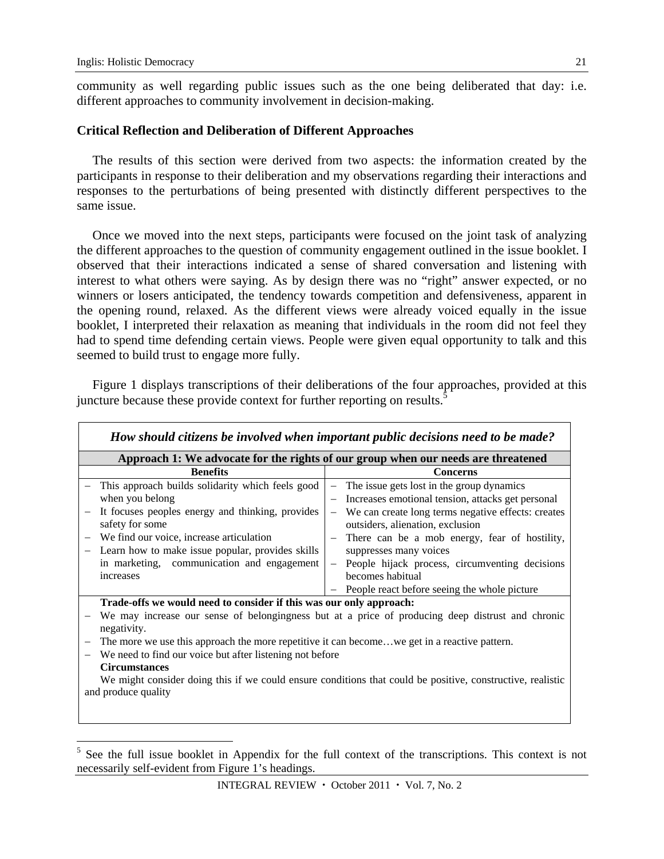$\overline{a}$ 

community as well regarding public issues such as the one being deliberated that day: i.e. different approaches to community involvement in decision-making.

#### **Critical Reflection and Deliberation of Different Approaches**

The results of this section were derived from two aspects: the information created by the participants in response to their deliberation and my observations regarding their interactions and responses to the perturbations of being presented with distinctly different perspectives to the same issue.

Once we moved into the next steps, participants were focused on the joint task of analyzing the different approaches to the question of community engagement outlined in the issue booklet. I observed that their interactions indicated a sense of shared conversation and listening with interest to what others were saying. As by design there was no "right" answer expected, or no winners or losers anticipated, the tendency towards competition and defensiveness, apparent in the opening round, relaxed. As the different views were already voiced equally in the issue booklet, I interpreted their relaxation as meaning that individuals in the room did not feel they had to spend time defending certain views. People were given equal opportunity to talk and this seemed to build trust to engage more fully.

Figure 1 displays transcriptions of their deliberations of the four approaches, provided at this juncture because these provide context for further reporting on results.<sup>5</sup>

| How should citizens be involved when important public decisions need to be made?                           |                                                                               |  |  |  |
|------------------------------------------------------------------------------------------------------------|-------------------------------------------------------------------------------|--|--|--|
| Approach 1: We advocate for the rights of our group when our needs are threatened                          |                                                                               |  |  |  |
| <b>Benefits</b>                                                                                            | <b>Concerns</b>                                                               |  |  |  |
| This approach builds solidarity which feels good                                                           | The issue gets lost in the group dynamics                                     |  |  |  |
| when you belong                                                                                            | Increases emotional tension, attacks get personal<br>$\overline{\phantom{m}}$ |  |  |  |
| It focuses peoples energy and thinking, provides                                                           | We can create long terms negative effects: creates                            |  |  |  |
| safety for some                                                                                            | outsiders, alienation, exclusion                                              |  |  |  |
| We find our voice, increase articulation                                                                   | There can be a mob energy, fear of hostility,                                 |  |  |  |
| Learn how to make issue popular, provides skills                                                           | suppresses many voices                                                        |  |  |  |
| in marketing, communication and engagement                                                                 | People hijack process, circumventing decisions<br>$\overline{\phantom{m}}$    |  |  |  |
| increases                                                                                                  | becomes habitual                                                              |  |  |  |
|                                                                                                            | People react before seeing the whole picture                                  |  |  |  |
| Trade-offs we would need to consider if this was our only approach:                                        |                                                                               |  |  |  |
| We may increase our sense of belongingness but at a price of producing deep distrust and chronic           |                                                                               |  |  |  |
| negativity.                                                                                                |                                                                               |  |  |  |
| The more we use this approach the more repetitive it can becomewe get in a reactive pattern.               |                                                                               |  |  |  |
| We need to find our voice but after listening not before                                                   |                                                                               |  |  |  |
| <b>Circumstances</b>                                                                                       |                                                                               |  |  |  |
| We might consider doing this if we could ensure conditions that could be positive, constructive, realistic |                                                                               |  |  |  |
| and produce quality                                                                                        |                                                                               |  |  |  |
|                                                                                                            |                                                                               |  |  |  |
|                                                                                                            |                                                                               |  |  |  |

 $5$  See the full issue booklet in Appendix for the full context of the transcriptions. This context is not necessarily self-evident from Figure 1's headings.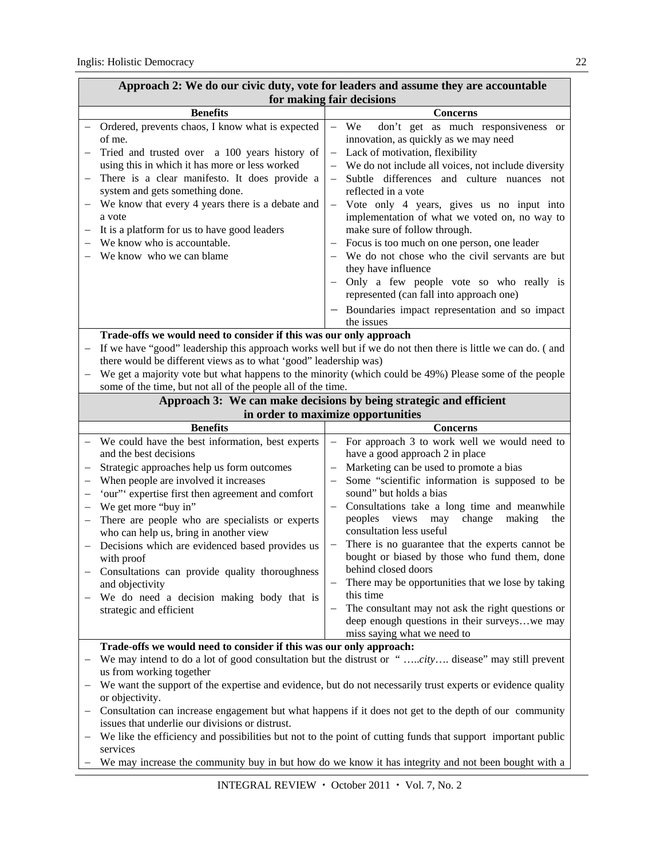| дрргоасн 2. это до онг сгую дагу, того гот юадств анд аввине тву аго ассоциалс<br>for making fair decisions |                                                                                                                                                                                                                                                                                                                                                                                                                                                                                                                                                          |                                                                                                                                                                                                                                                                                                                                                                                                                                                                                                                                                                                                                                                                                                  |  |
|-------------------------------------------------------------------------------------------------------------|----------------------------------------------------------------------------------------------------------------------------------------------------------------------------------------------------------------------------------------------------------------------------------------------------------------------------------------------------------------------------------------------------------------------------------------------------------------------------------------------------------------------------------------------------------|--------------------------------------------------------------------------------------------------------------------------------------------------------------------------------------------------------------------------------------------------------------------------------------------------------------------------------------------------------------------------------------------------------------------------------------------------------------------------------------------------------------------------------------------------------------------------------------------------------------------------------------------------------------------------------------------------|--|
|                                                                                                             | <b>Benefits</b>                                                                                                                                                                                                                                                                                                                                                                                                                                                                                                                                          | <b>Concerns</b>                                                                                                                                                                                                                                                                                                                                                                                                                                                                                                                                                                                                                                                                                  |  |
|                                                                                                             | Ordered, prevents chaos, I know what is expected<br>of me.<br>Tried and trusted over a 100 years history of<br>using this in which it has more or less worked<br>There is a clear manifesto. It does provide a<br>system and gets something done.<br>We know that every 4 years there is a debate and<br>a vote<br>It is a platform for us to have good leaders<br>We know who is accountable.<br>We know who we can blame                                                                                                                               | We<br>don't get as much responsiveness or<br>$\equiv$<br>innovation, as quickly as we may need<br>Lack of motivation, flexibility<br>We do not include all voices, not include diversity<br>Subtle differences and culture nuances not<br>reflected in a vote<br>Vote only 4 years, gives us no input into<br>implementation of what we voted on, no way to<br>make sure of follow through.<br>Focus is too much on one person, one leader<br>We do not chose who the civil servants are but<br>they have influence<br>Only a few people vote so who really is<br>represented (can fall into approach one)<br>- Boundaries impact representation and so impact                                   |  |
|                                                                                                             |                                                                                                                                                                                                                                                                                                                                                                                                                                                                                                                                                          | the issues                                                                                                                                                                                                                                                                                                                                                                                                                                                                                                                                                                                                                                                                                       |  |
|                                                                                                             | Trade-offs we would need to consider if this was our only approach<br>If we have "good" leadership this approach works well but if we do not then there is little we can do. (and<br>there would be different views as to what 'good" leadership was)<br>We get a majority vote but what happens to the minority (which could be 49%) Please some of the people<br>some of the time, but not all of the people all of the time.<br>Approach 3: We can make decisions by being strategic and efficient                                                    |                                                                                                                                                                                                                                                                                                                                                                                                                                                                                                                                                                                                                                                                                                  |  |
|                                                                                                             |                                                                                                                                                                                                                                                                                                                                                                                                                                                                                                                                                          | in order to maximize opportunities                                                                                                                                                                                                                                                                                                                                                                                                                                                                                                                                                                                                                                                               |  |
|                                                                                                             | <b>Benefits</b>                                                                                                                                                                                                                                                                                                                                                                                                                                                                                                                                          | <b>Concerns</b>                                                                                                                                                                                                                                                                                                                                                                                                                                                                                                                                                                                                                                                                                  |  |
|                                                                                                             | We could have the best information, best experts<br>and the best decisions<br>Strategic approaches help us form outcomes<br>When people are involved it increases<br>'our" expertise first then agreement and comfort<br>We get more "buy in"<br>There are people who are specialists or experts<br>who can help us, bring in another view<br>Decisions which are evidenced based provides us<br>with proof<br>Consultations can provide quality thoroughness<br>and objectivity<br>We do need a decision making body that is<br>strategic and efficient | For approach 3 to work well we would need to<br>$\qquad \qquad -$<br>have a good approach 2 in place<br>Marketing can be used to promote a bias<br>Some "scientific information is supposed to be<br>sound" but holds a bias<br>Consultations take a long time and meanwhile<br>views<br>change<br>making<br>peoples<br>may<br>the<br>consultation less useful<br>There is no guarantee that the experts cannot be<br>bought or biased by those who fund them, done<br>behind closed doors<br>There may be opportunities that we lose by taking<br>this time<br>The consultant may not ask the right questions or<br>deep enough questions in their surveyswe may<br>miss saying what we need to |  |
|                                                                                                             | Trade-offs we would need to consider if this was our only approach:                                                                                                                                                                                                                                                                                                                                                                                                                                                                                      |                                                                                                                                                                                                                                                                                                                                                                                                                                                                                                                                                                                                                                                                                                  |  |
|                                                                                                             | We may intend to do a lot of good consultation but the distrust or "city disease" may still prevent<br>us from working together<br>We want the support of the expertise and evidence, but do not necessarily trust experts or evidence quality<br>or objectivity.<br>Consultation can increase engagement but what happens if it does not get to the depth of our community                                                                                                                                                                              |                                                                                                                                                                                                                                                                                                                                                                                                                                                                                                                                                                                                                                                                                                  |  |
|                                                                                                             | issues that underlie our divisions or distrust.<br>We like the efficiency and possibilities but not to the point of cutting funds that support important public<br>services<br>We may increase the community buy in but how do we know it has integrity and not been bought with a                                                                                                                                                                                                                                                                       |                                                                                                                                                                                                                                                                                                                                                                                                                                                                                                                                                                                                                                                                                                  |  |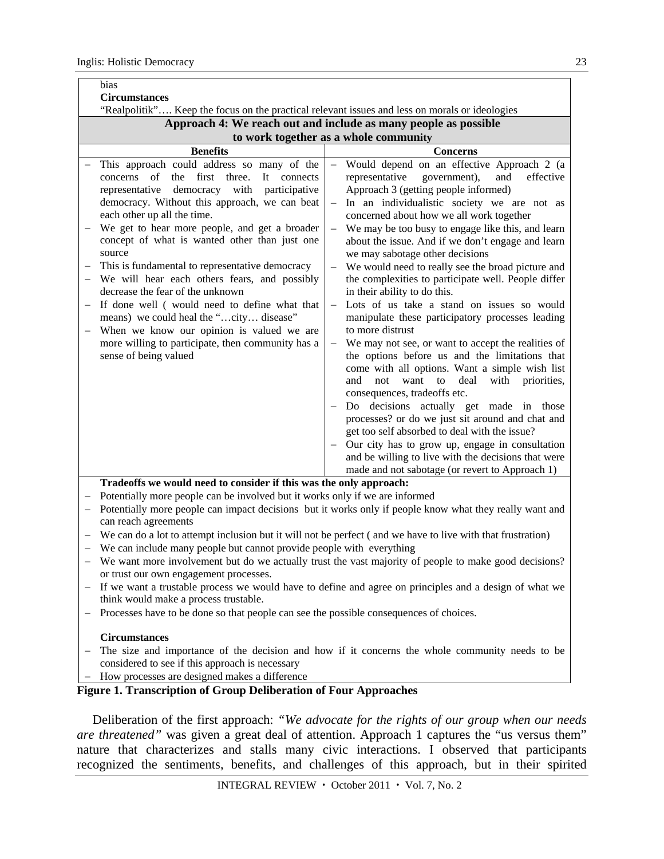| bias<br><b>Circumstances</b>                                                                                                                                                                                                                                                                                                                                                                                                                                                                                                                                                                                                                                                                                                                                                |                                                                                                                                                                                                                                                                                                                                                                                                                                                                                                                                                                                                                                                                                                                                                                                                                                                                                                                                                                                                                                                                                                                                                                                                                                                                                                                         |  |  |  |
|-----------------------------------------------------------------------------------------------------------------------------------------------------------------------------------------------------------------------------------------------------------------------------------------------------------------------------------------------------------------------------------------------------------------------------------------------------------------------------------------------------------------------------------------------------------------------------------------------------------------------------------------------------------------------------------------------------------------------------------------------------------------------------|-------------------------------------------------------------------------------------------------------------------------------------------------------------------------------------------------------------------------------------------------------------------------------------------------------------------------------------------------------------------------------------------------------------------------------------------------------------------------------------------------------------------------------------------------------------------------------------------------------------------------------------------------------------------------------------------------------------------------------------------------------------------------------------------------------------------------------------------------------------------------------------------------------------------------------------------------------------------------------------------------------------------------------------------------------------------------------------------------------------------------------------------------------------------------------------------------------------------------------------------------------------------------------------------------------------------------|--|--|--|
| "Realpolitik" Keep the focus on the practical relevant issues and less on morals or ideologies                                                                                                                                                                                                                                                                                                                                                                                                                                                                                                                                                                                                                                                                              |                                                                                                                                                                                                                                                                                                                                                                                                                                                                                                                                                                                                                                                                                                                                                                                                                                                                                                                                                                                                                                                                                                                                                                                                                                                                                                                         |  |  |  |
| Approach 4: We reach out and include as many people as possible                                                                                                                                                                                                                                                                                                                                                                                                                                                                                                                                                                                                                                                                                                             |                                                                                                                                                                                                                                                                                                                                                                                                                                                                                                                                                                                                                                                                                                                                                                                                                                                                                                                                                                                                                                                                                                                                                                                                                                                                                                                         |  |  |  |
|                                                                                                                                                                                                                                                                                                                                                                                                                                                                                                                                                                                                                                                                                                                                                                             | to work together as a whole community                                                                                                                                                                                                                                                                                                                                                                                                                                                                                                                                                                                                                                                                                                                                                                                                                                                                                                                                                                                                                                                                                                                                                                                                                                                                                   |  |  |  |
| <b>Benefits</b>                                                                                                                                                                                                                                                                                                                                                                                                                                                                                                                                                                                                                                                                                                                                                             | <b>Concerns</b>                                                                                                                                                                                                                                                                                                                                                                                                                                                                                                                                                                                                                                                                                                                                                                                                                                                                                                                                                                                                                                                                                                                                                                                                                                                                                                         |  |  |  |
| This approach could address so many of the<br>of<br>the<br>first<br>three.<br>It connects<br>concerns<br>democracy with<br>representative<br>participative<br>democracy. Without this approach, we can beat<br>each other up all the time.<br>We get to hear more people, and get a broader<br>$\overline{\phantom{0}}$<br>concept of what is wanted other than just one<br>source<br>This is fundamental to representative democracy<br>$\overline{\phantom{0}}$<br>We will hear each others fears, and possibly<br>decrease the fear of the unknown<br>If done well (would need to define what that<br>means) we could heal the "city disease"<br>When we know our opinion is valued we are<br>more willing to participate, then community has a<br>sense of being valued | Would depend on an effective Approach 2 (a<br>$\overline{\phantom{0}}$<br>government),<br>effective<br>representative<br>and<br>Approach 3 (getting people informed)<br>In an individualistic society we are not as<br>concerned about how we all work together<br>We may be too busy to engage like this, and learn<br>$\overline{\phantom{m}}$<br>about the issue. And if we don't engage and learn<br>we may sabotage other decisions<br>We would need to really see the broad picture and<br>$\overline{\phantom{m}}$<br>the complexities to participate well. People differ<br>in their ability to do this.<br>Lots of us take a stand on issues so would<br>$\qquad \qquad -$<br>manipulate these participatory processes leading<br>to more distrust<br>We may not see, or want to accept the realities of<br>the options before us and the limitations that<br>come with all options. Want a simple wish list<br>not want to<br>deal<br>and<br>with<br>priorities,<br>consequences, tradeoffs etc.<br>Do decisions actually get made in those<br>processes? or do we just sit around and chat and<br>get too self absorbed to deal with the issue?<br>Our city has to grow up, engage in consultation<br>and be willing to live with the decisions that were<br>made and not sabotage (or revert to Approach 1) |  |  |  |
|                                                                                                                                                                                                                                                                                                                                                                                                                                                                                                                                                                                                                                                                                                                                                                             |                                                                                                                                                                                                                                                                                                                                                                                                                                                                                                                                                                                                                                                                                                                                                                                                                                                                                                                                                                                                                                                                                                                                                                                                                                                                                                                         |  |  |  |
| Tradeoffs we would need to consider if this was the only approach:                                                                                                                                                                                                                                                                                                                                                                                                                                                                                                                                                                                                                                                                                                          |                                                                                                                                                                                                                                                                                                                                                                                                                                                                                                                                                                                                                                                                                                                                                                                                                                                                                                                                                                                                                                                                                                                                                                                                                                                                                                                         |  |  |  |
| Potentially more people can be involved but it works only if we are informed<br>$\overline{\phantom{0}}$                                                                                                                                                                                                                                                                                                                                                                                                                                                                                                                                                                                                                                                                    |                                                                                                                                                                                                                                                                                                                                                                                                                                                                                                                                                                                                                                                                                                                                                                                                                                                                                                                                                                                                                                                                                                                                                                                                                                                                                                                         |  |  |  |
| can reach agreements                                                                                                                                                                                                                                                                                                                                                                                                                                                                                                                                                                                                                                                                                                                                                        | Potentially more people can impact decisions but it works only if people know what they really want and                                                                                                                                                                                                                                                                                                                                                                                                                                                                                                                                                                                                                                                                                                                                                                                                                                                                                                                                                                                                                                                                                                                                                                                                                 |  |  |  |
| $\overline{\phantom{0}}$                                                                                                                                                                                                                                                                                                                                                                                                                                                                                                                                                                                                                                                                                                                                                    | We can do a lot to attempt inclusion but it will not be perfect (and we have to live with that frustration)                                                                                                                                                                                                                                                                                                                                                                                                                                                                                                                                                                                                                                                                                                                                                                                                                                                                                                                                                                                                                                                                                                                                                                                                             |  |  |  |
| We can include many people but cannot provide people with everything                                                                                                                                                                                                                                                                                                                                                                                                                                                                                                                                                                                                                                                                                                        |                                                                                                                                                                                                                                                                                                                                                                                                                                                                                                                                                                                                                                                                                                                                                                                                                                                                                                                                                                                                                                                                                                                                                                                                                                                                                                                         |  |  |  |
|                                                                                                                                                                                                                                                                                                                                                                                                                                                                                                                                                                                                                                                                                                                                                                             | We want more involvement but do we actually trust the vast majority of people to make good decisions?                                                                                                                                                                                                                                                                                                                                                                                                                                                                                                                                                                                                                                                                                                                                                                                                                                                                                                                                                                                                                                                                                                                                                                                                                   |  |  |  |
| or trust our own engagement processes.                                                                                                                                                                                                                                                                                                                                                                                                                                                                                                                                                                                                                                                                                                                                      |                                                                                                                                                                                                                                                                                                                                                                                                                                                                                                                                                                                                                                                                                                                                                                                                                                                                                                                                                                                                                                                                                                                                                                                                                                                                                                                         |  |  |  |
| If we want a trustable process we would have to define and agree on principles and a design of what we<br>think would make a process trustable.                                                                                                                                                                                                                                                                                                                                                                                                                                                                                                                                                                                                                             |                                                                                                                                                                                                                                                                                                                                                                                                                                                                                                                                                                                                                                                                                                                                                                                                                                                                                                                                                                                                                                                                                                                                                                                                                                                                                                                         |  |  |  |
| Processes have to be done so that people can see the possible consequences of choices.                                                                                                                                                                                                                                                                                                                                                                                                                                                                                                                                                                                                                                                                                      |                                                                                                                                                                                                                                                                                                                                                                                                                                                                                                                                                                                                                                                                                                                                                                                                                                                                                                                                                                                                                                                                                                                                                                                                                                                                                                                         |  |  |  |
| <b>Circumstances</b><br>The size and importance of the decision and how if it concerns the whole community needs to be                                                                                                                                                                                                                                                                                                                                                                                                                                                                                                                                                                                                                                                      |                                                                                                                                                                                                                                                                                                                                                                                                                                                                                                                                                                                                                                                                                                                                                                                                                                                                                                                                                                                                                                                                                                                                                                                                                                                                                                                         |  |  |  |

- considered to see if this approach is necessary
- How processes are designed makes a difference

#### **Figure 1. Transcription of Group Deliberation of Four Approaches**

Deliberation of the first approach: *"We advocate for the rights of our group when our needs are threatened"* was given a great deal of attention. Approach 1 captures the "us versus them" nature that characterizes and stalls many civic interactions. I observed that participants recognized the sentiments, benefits, and challenges of this approach, but in their spirited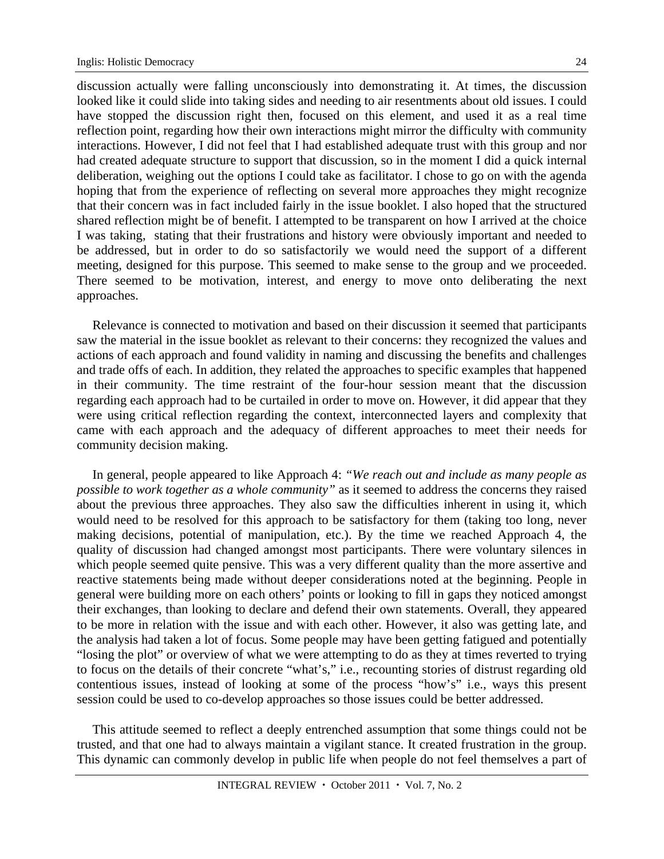discussion actually were falling unconsciously into demonstrating it. At times, the discussion looked like it could slide into taking sides and needing to air resentments about old issues. I could have stopped the discussion right then, focused on this element, and used it as a real time reflection point, regarding how their own interactions might mirror the difficulty with community interactions. However, I did not feel that I had established adequate trust with this group and nor had created adequate structure to support that discussion, so in the moment I did a quick internal deliberation, weighing out the options I could take as facilitator. I chose to go on with the agenda hoping that from the experience of reflecting on several more approaches they might recognize that their concern was in fact included fairly in the issue booklet. I also hoped that the structured shared reflection might be of benefit. I attempted to be transparent on how I arrived at the choice I was taking, stating that their frustrations and history were obviously important and needed to be addressed, but in order to do so satisfactorily we would need the support of a different meeting, designed for this purpose. This seemed to make sense to the group and we proceeded. There seemed to be motivation, interest, and energy to move onto deliberating the next approaches.

Relevance is connected to motivation and based on their discussion it seemed that participants saw the material in the issue booklet as relevant to their concerns: they recognized the values and actions of each approach and found validity in naming and discussing the benefits and challenges and trade offs of each. In addition, they related the approaches to specific examples that happened in their community. The time restraint of the four-hour session meant that the discussion regarding each approach had to be curtailed in order to move on. However, it did appear that they were using critical reflection regarding the context, interconnected layers and complexity that came with each approach and the adequacy of different approaches to meet their needs for community decision making.

In general, people appeared to like Approach 4: *"We reach out and include as many people as possible to work together as a whole community"* as it seemed to address the concerns they raised about the previous three approaches. They also saw the difficulties inherent in using it, which would need to be resolved for this approach to be satisfactory for them (taking too long, never making decisions, potential of manipulation, etc.). By the time we reached Approach 4, the quality of discussion had changed amongst most participants. There were voluntary silences in which people seemed quite pensive. This was a very different quality than the more assertive and reactive statements being made without deeper considerations noted at the beginning. People in general were building more on each others' points or looking to fill in gaps they noticed amongst their exchanges, than looking to declare and defend their own statements. Overall, they appeared to be more in relation with the issue and with each other. However, it also was getting late, and the analysis had taken a lot of focus. Some people may have been getting fatigued and potentially "losing the plot" or overview of what we were attempting to do as they at times reverted to trying to focus on the details of their concrete "what's," i.e., recounting stories of distrust regarding old contentious issues, instead of looking at some of the process "how's" i.e., ways this present session could be used to co-develop approaches so those issues could be better addressed.

This attitude seemed to reflect a deeply entrenched assumption that some things could not be trusted, and that one had to always maintain a vigilant stance. It created frustration in the group. This dynamic can commonly develop in public life when people do not feel themselves a part of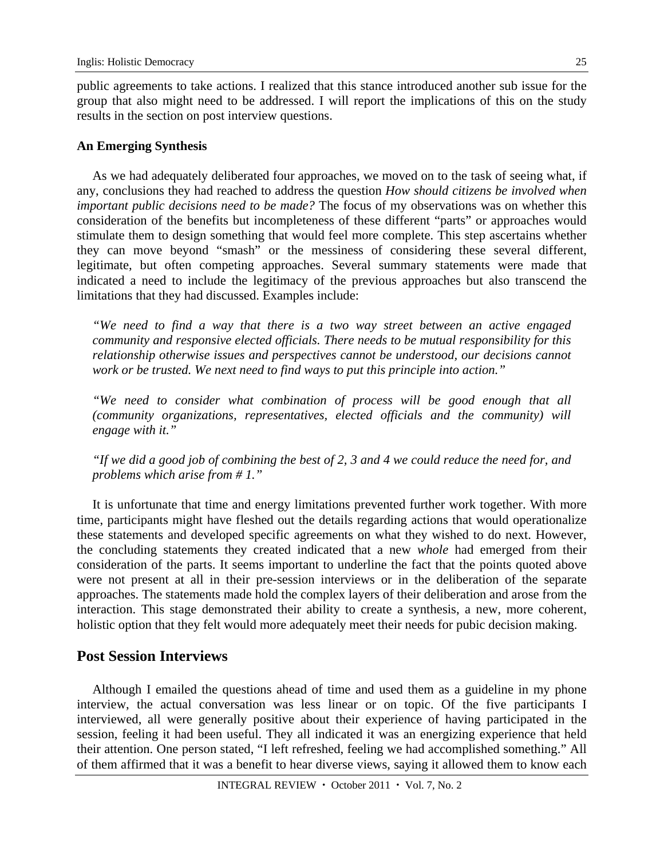public agreements to take actions. I realized that this stance introduced another sub issue for the group that also might need to be addressed. I will report the implications of this on the study results in the section on post interview questions.

### **An Emerging Synthesis**

As we had adequately deliberated four approaches, we moved on to the task of seeing what, if any, conclusions they had reached to address the question *How should citizens be involved when important public decisions need to be made?* The focus of my observations was on whether this consideration of the benefits but incompleteness of these different "parts" or approaches would stimulate them to design something that would feel more complete. This step ascertains whether they can move beyond "smash" or the messiness of considering these several different, legitimate, but often competing approaches. Several summary statements were made that indicated a need to include the legitimacy of the previous approaches but also transcend the limitations that they had discussed. Examples include:

*"We need to find a way that there is a two way street between an active engaged community and responsive elected officials. There needs to be mutual responsibility for this relationship otherwise issues and perspectives cannot be understood, our decisions cannot work or be trusted. We next need to find ways to put this principle into action."* 

*"We need to consider what combination of process will be good enough that all (community organizations, representatives, elected officials and the community) will engage with it."* 

*"If we did a good job of combining the best of 2, 3 and 4 we could reduce the need for, and problems which arise from # 1."* 

It is unfortunate that time and energy limitations prevented further work together. With more time, participants might have fleshed out the details regarding actions that would operationalize these statements and developed specific agreements on what they wished to do next. However, the concluding statements they created indicated that a new *whole* had emerged from their consideration of the parts. It seems important to underline the fact that the points quoted above were not present at all in their pre-session interviews or in the deliberation of the separate approaches. The statements made hold the complex layers of their deliberation and arose from the interaction. This stage demonstrated their ability to create a synthesis, a new, more coherent, holistic option that they felt would more adequately meet their needs for pubic decision making.

### **Post Session Interviews**

Although I emailed the questions ahead of time and used them as a guideline in my phone interview, the actual conversation was less linear or on topic. Of the five participants I interviewed, all were generally positive about their experience of having participated in the session, feeling it had been useful. They all indicated it was an energizing experience that held their attention. One person stated, "I left refreshed, feeling we had accomplished something." All of them affirmed that it was a benefit to hear diverse views, saying it allowed them to know each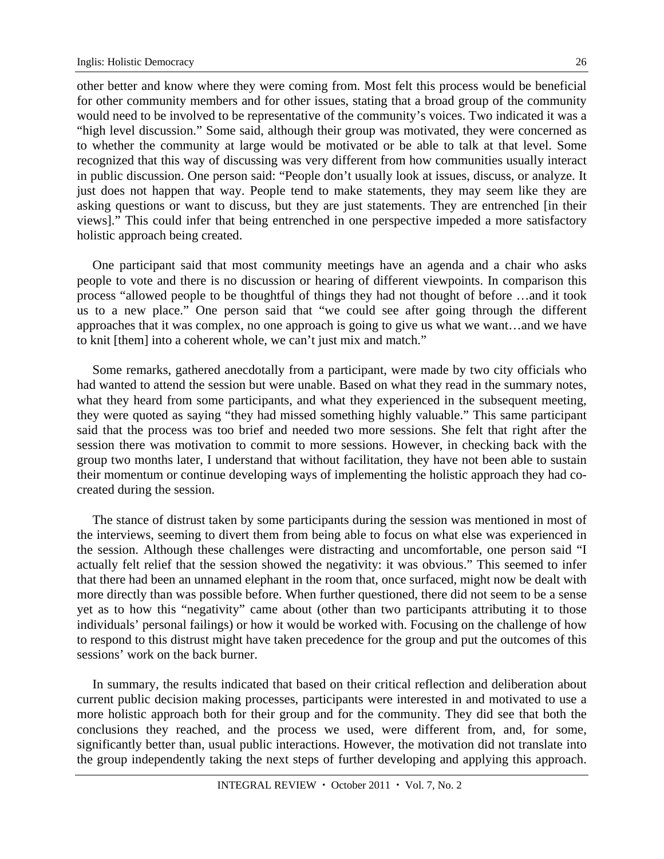other better and know where they were coming from. Most felt this process would be beneficial for other community members and for other issues, stating that a broad group of the community would need to be involved to be representative of the community's voices. Two indicated it was a "high level discussion." Some said, although their group was motivated, they were concerned as to whether the community at large would be motivated or be able to talk at that level. Some recognized that this way of discussing was very different from how communities usually interact in public discussion. One person said: "People don't usually look at issues, discuss, or analyze. It just does not happen that way. People tend to make statements, they may seem like they are asking questions or want to discuss, but they are just statements. They are entrenched [in their views]." This could infer that being entrenched in one perspective impeded a more satisfactory holistic approach being created.

One participant said that most community meetings have an agenda and a chair who asks people to vote and there is no discussion or hearing of different viewpoints. In comparison this process "allowed people to be thoughtful of things they had not thought of before ...and it took us to a new place." One person said that "we could see after going through the different approaches that it was complex, no one approach is going to give us what we want…and we have to knit [them] into a coherent whole, we can't just mix and match."

Some remarks, gathered anecdotally from a participant, were made by two city officials who had wanted to attend the session but were unable. Based on what they read in the summary notes, what they heard from some participants, and what they experienced in the subsequent meeting, they were quoted as saying "they had missed something highly valuable." This same participant said that the process was too brief and needed two more sessions. She felt that right after the session there was motivation to commit to more sessions. However, in checking back with the group two months later, I understand that without facilitation, they have not been able to sustain their momentum or continue developing ways of implementing the holistic approach they had cocreated during the session.

The stance of distrust taken by some participants during the session was mentioned in most of the interviews, seeming to divert them from being able to focus on what else was experienced in the session. Although these challenges were distracting and uncomfortable, one person said "I actually felt relief that the session showed the negativity: it was obvious." This seemed to infer that there had been an unnamed elephant in the room that, once surfaced, might now be dealt with more directly than was possible before. When further questioned, there did not seem to be a sense yet as to how this "negativity" came about (other than two participants attributing it to those individuals' personal failings) or how it would be worked with. Focusing on the challenge of how to respond to this distrust might have taken precedence for the group and put the outcomes of this sessions' work on the back burner.

In summary, the results indicated that based on their critical reflection and deliberation about current public decision making processes, participants were interested in and motivated to use a more holistic approach both for their group and for the community. They did see that both the conclusions they reached, and the process we used, were different from, and, for some, significantly better than, usual public interactions. However, the motivation did not translate into the group independently taking the next steps of further developing and applying this approach.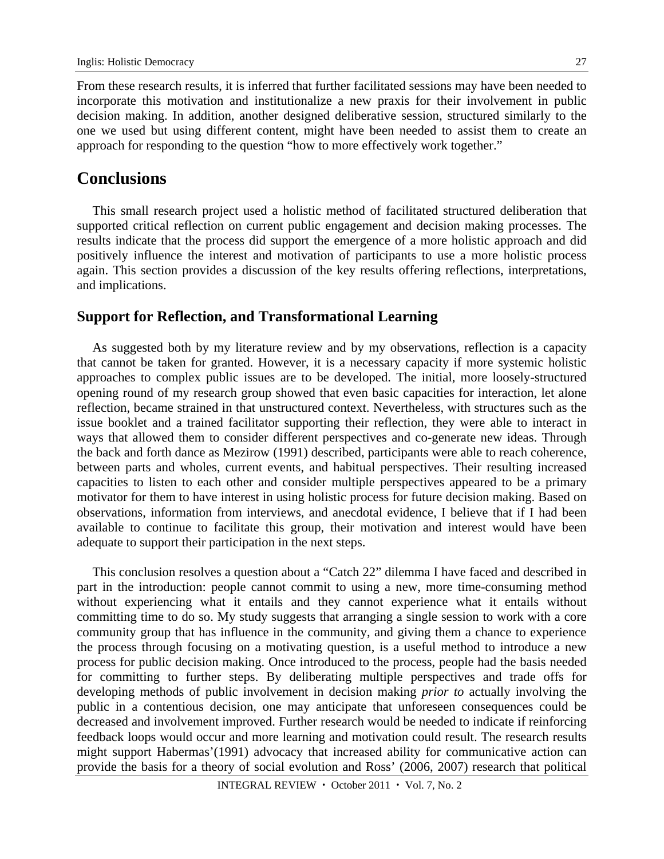From these research results, it is inferred that further facilitated sessions may have been needed to incorporate this motivation and institutionalize a new praxis for their involvement in public decision making. In addition, another designed deliberative session, structured similarly to the one we used but using different content, might have been needed to assist them to create an approach for responding to the question "how to more effectively work together."

## **Conclusions**

This small research project used a holistic method of facilitated structured deliberation that supported critical reflection on current public engagement and decision making processes. The results indicate that the process did support the emergence of a more holistic approach and did positively influence the interest and motivation of participants to use a more holistic process again. This section provides a discussion of the key results offering reflections, interpretations, and implications.

## **Support for Reflection, and Transformational Learning**

As suggested both by my literature review and by my observations, reflection is a capacity that cannot be taken for granted. However, it is a necessary capacity if more systemic holistic approaches to complex public issues are to be developed. The initial, more loosely-structured opening round of my research group showed that even basic capacities for interaction, let alone reflection, became strained in that unstructured context. Nevertheless, with structures such as the issue booklet and a trained facilitator supporting their reflection, they were able to interact in ways that allowed them to consider different perspectives and co-generate new ideas. Through the back and forth dance as Mezirow (1991) described, participants were able to reach coherence, between parts and wholes, current events, and habitual perspectives. Their resulting increased capacities to listen to each other and consider multiple perspectives appeared to be a primary motivator for them to have interest in using holistic process for future decision making. Based on observations, information from interviews, and anecdotal evidence, I believe that if I had been available to continue to facilitate this group, their motivation and interest would have been adequate to support their participation in the next steps.

This conclusion resolves a question about a "Catch 22" dilemma I have faced and described in part in the introduction: people cannot commit to using a new, more time-consuming method without experiencing what it entails and they cannot experience what it entails without committing time to do so. My study suggests that arranging a single session to work with a core community group that has influence in the community, and giving them a chance to experience the process through focusing on a motivating question, is a useful method to introduce a new process for public decision making. Once introduced to the process, people had the basis needed for committing to further steps. By deliberating multiple perspectives and trade offs for developing methods of public involvement in decision making *prior to* actually involving the public in a contentious decision, one may anticipate that unforeseen consequences could be decreased and involvement improved. Further research would be needed to indicate if reinforcing feedback loops would occur and more learning and motivation could result. The research results might support Habermas'(1991) advocacy that increased ability for communicative action can provide the basis for a theory of social evolution and Ross' (2006, 2007) research that political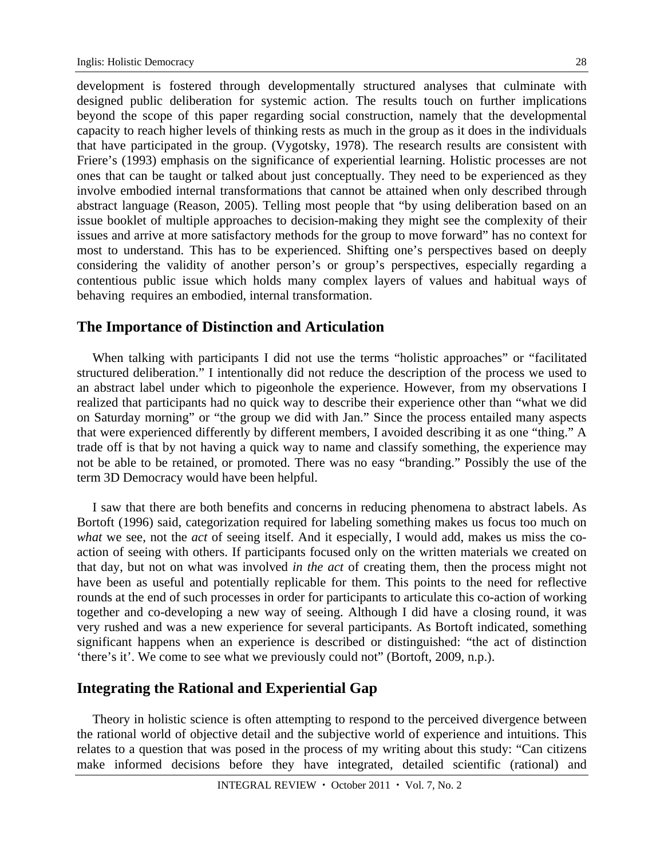development is fostered through developmentally structured analyses that culminate with designed public deliberation for systemic action. The results touch on further implications beyond the scope of this paper regarding social construction, namely that the developmental capacity to reach higher levels of thinking rests as much in the group as it does in the individuals that have participated in the group. (Vygotsky, 1978). The research results are consistent with Friere's (1993) emphasis on the significance of experiential learning. Holistic processes are not ones that can be taught or talked about just conceptually. They need to be experienced as they involve embodied internal transformations that cannot be attained when only described through abstract language (Reason, 2005). Telling most people that "by using deliberation based on an issue booklet of multiple approaches to decision-making they might see the complexity of their issues and arrive at more satisfactory methods for the group to move forward" has no context for most to understand. This has to be experienced. Shifting one's perspectives based on deeply considering the validity of another person's or group's perspectives, especially regarding a contentious public issue which holds many complex layers of values and habitual ways of behaving requires an embodied, internal transformation.

### **The Importance of Distinction and Articulation**

When talking with participants I did not use the terms "holistic approaches" or "facilitated structured deliberation." I intentionally did not reduce the description of the process we used to an abstract label under which to pigeonhole the experience. However, from my observations I realized that participants had no quick way to describe their experience other than "what we did on Saturday morning" or "the group we did with Jan." Since the process entailed many aspects that were experienced differently by different members, I avoided describing it as one "thing." A trade off is that by not having a quick way to name and classify something, the experience may not be able to be retained, or promoted. There was no easy "branding." Possibly the use of the term 3D Democracy would have been helpful.

I saw that there are both benefits and concerns in reducing phenomena to abstract labels. As Bortoft (1996) said, categorization required for labeling something makes us focus too much on *what* we see, not the *act* of seeing itself. And it especially, I would add, makes us miss the coaction of seeing with others. If participants focused only on the written materials we created on that day, but not on what was involved *in the act* of creating them, then the process might not have been as useful and potentially replicable for them. This points to the need for reflective rounds at the end of such processes in order for participants to articulate this co-action of working together and co-developing a new way of seeing. Although I did have a closing round, it was very rushed and was a new experience for several participants. As Bortoft indicated, something significant happens when an experience is described or distinguished: "the act of distinction 'there's it'. We come to see what we previously could not" (Bortoft, 2009, n.p.).

### **Integrating the Rational and Experiential Gap**

Theory in holistic science is often attempting to respond to the perceived divergence between the rational world of objective detail and the subjective world of experience and intuitions. This relates to a question that was posed in the process of my writing about this study: "Can citizens make informed decisions before they have integrated, detailed scientific (rational) and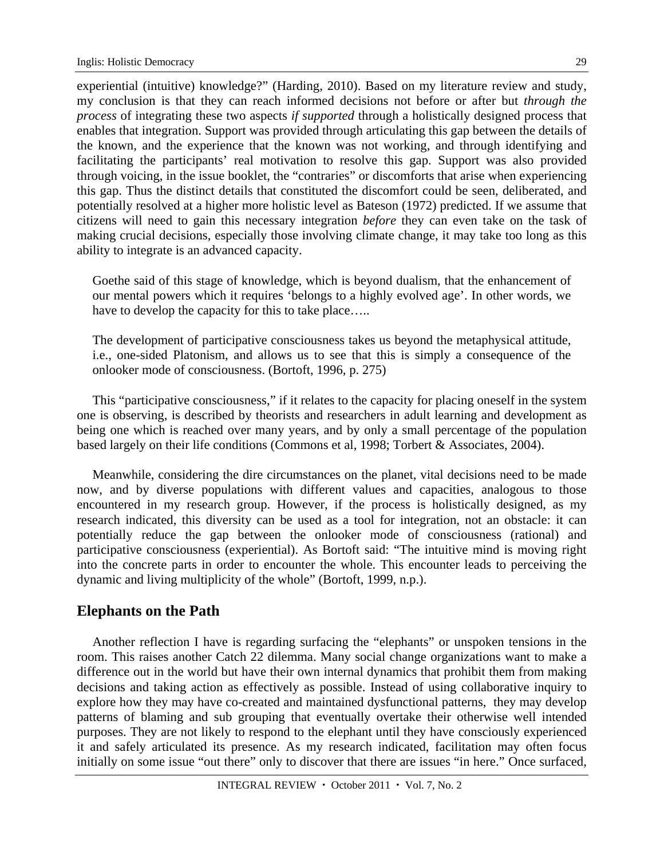experiential (intuitive) knowledge?" (Harding, 2010). Based on my literature review and study, my conclusion is that they can reach informed decisions not before or after but *through the process* of integrating these two aspects *if supported* through a holistically designed process that enables that integration. Support was provided through articulating this gap between the details of the known, and the experience that the known was not working, and through identifying and facilitating the participants' real motivation to resolve this gap. Support was also provided through voicing, in the issue booklet, the "contraries" or discomforts that arise when experiencing this gap. Thus the distinct details that constituted the discomfort could be seen, deliberated, and potentially resolved at a higher more holistic level as Bateson (1972) predicted. If we assume that citizens will need to gain this necessary integration *before* they can even take on the task of making crucial decisions, especially those involving climate change, it may take too long as this ability to integrate is an advanced capacity.

Goethe said of this stage of knowledge, which is beyond dualism, that the enhancement of our mental powers which it requires 'belongs to a highly evolved age'. In other words, we have to develop the capacity for this to take place.....

The development of participative consciousness takes us beyond the metaphysical attitude, i.e., one-sided Platonism, and allows us to see that this is simply a consequence of the onlooker mode of consciousness. (Bortoft, 1996, p. 275)

This "participative consciousness," if it relates to the capacity for placing oneself in the system one is observing, is described by theorists and researchers in adult learning and development as being one which is reached over many years, and by only a small percentage of the population based largely on their life conditions (Commons et al, 1998; Torbert & Associates, 2004).

Meanwhile, considering the dire circumstances on the planet, vital decisions need to be made now, and by diverse populations with different values and capacities, analogous to those encountered in my research group. However, if the process is holistically designed, as my research indicated, this diversity can be used as a tool for integration, not an obstacle: it can potentially reduce the gap between the onlooker mode of consciousness (rational) and participative consciousness (experiential). As Bortoft said: "The intuitive mind is moving right into the concrete parts in order to encounter the whole. This encounter leads to perceiving the dynamic and living multiplicity of the whole" (Bortoft, 1999, n.p.).

### **Elephants on the Path**

Another reflection I have is regarding surfacing the "elephants" or unspoken tensions in the room. This raises another Catch 22 dilemma. Many social change organizations want to make a difference out in the world but have their own internal dynamics that prohibit them from making decisions and taking action as effectively as possible. Instead of using collaborative inquiry to explore how they may have co-created and maintained dysfunctional patterns, they may develop patterns of blaming and sub grouping that eventually overtake their otherwise well intended purposes. They are not likely to respond to the elephant until they have consciously experienced it and safely articulated its presence. As my research indicated, facilitation may often focus initially on some issue "out there" only to discover that there are issues "in here." Once surfaced,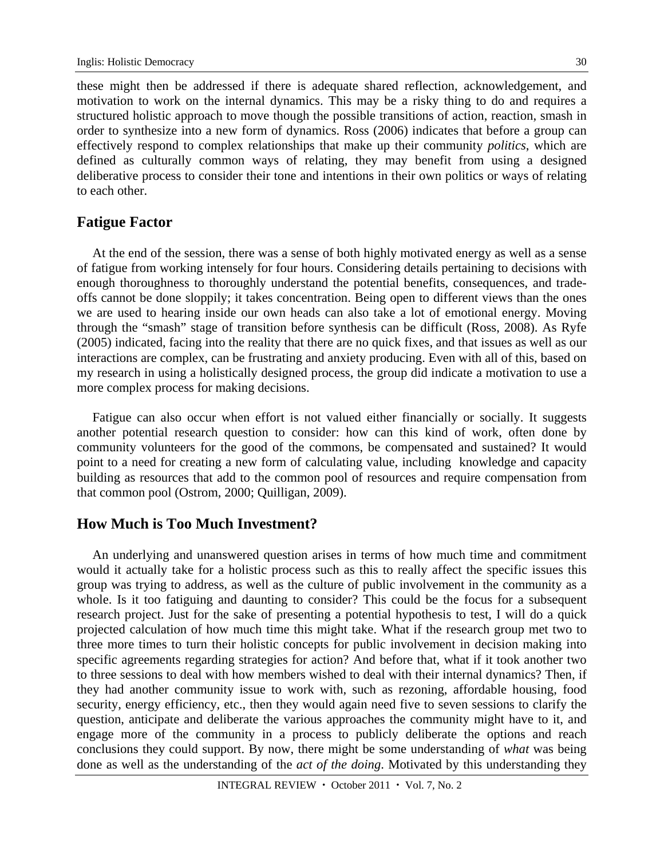these might then be addressed if there is adequate shared reflection, acknowledgement, and motivation to work on the internal dynamics. This may be a risky thing to do and requires a structured holistic approach to move though the possible transitions of action, reaction, smash in order to synthesize into a new form of dynamics. Ross (2006) indicates that before a group can effectively respond to complex relationships that make up their community *politics*, which are defined as culturally common ways of relating, they may benefit from using a designed deliberative process to consider their tone and intentions in their own politics or ways of relating to each other.

### **Fatigue Factor**

At the end of the session, there was a sense of both highly motivated energy as well as a sense of fatigue from working intensely for four hours. Considering details pertaining to decisions with enough thoroughness to thoroughly understand the potential benefits, consequences, and tradeoffs cannot be done sloppily; it takes concentration. Being open to different views than the ones we are used to hearing inside our own heads can also take a lot of emotional energy. Moving through the "smash" stage of transition before synthesis can be difficult (Ross, 2008). As Ryfe (2005) indicated, facing into the reality that there are no quick fixes, and that issues as well as our interactions are complex, can be frustrating and anxiety producing. Even with all of this, based on my research in using a holistically designed process, the group did indicate a motivation to use a more complex process for making decisions.

Fatigue can also occur when effort is not valued either financially or socially. It suggests another potential research question to consider: how can this kind of work, often done by community volunteers for the good of the commons, be compensated and sustained? It would point to a need for creating a new form of calculating value, including knowledge and capacity building as resources that add to the common pool of resources and require compensation from that common pool (Ostrom, 2000; Quilligan, 2009).

### **How Much is Too Much Investment?**

An underlying and unanswered question arises in terms of how much time and commitment would it actually take for a holistic process such as this to really affect the specific issues this group was trying to address, as well as the culture of public involvement in the community as a whole. Is it too fatiguing and daunting to consider? This could be the focus for a subsequent research project. Just for the sake of presenting a potential hypothesis to test, I will do a quick projected calculation of how much time this might take. What if the research group met two to three more times to turn their holistic concepts for public involvement in decision making into specific agreements regarding strategies for action? And before that, what if it took another two to three sessions to deal with how members wished to deal with their internal dynamics? Then, if they had another community issue to work with, such as rezoning, affordable housing, food security, energy efficiency, etc., then they would again need five to seven sessions to clarify the question, anticipate and deliberate the various approaches the community might have to it, and engage more of the community in a process to publicly deliberate the options and reach conclusions they could support. By now, there might be some understanding of *what* was being done as well as the understanding of the *act of the doing*. Motivated by this understanding they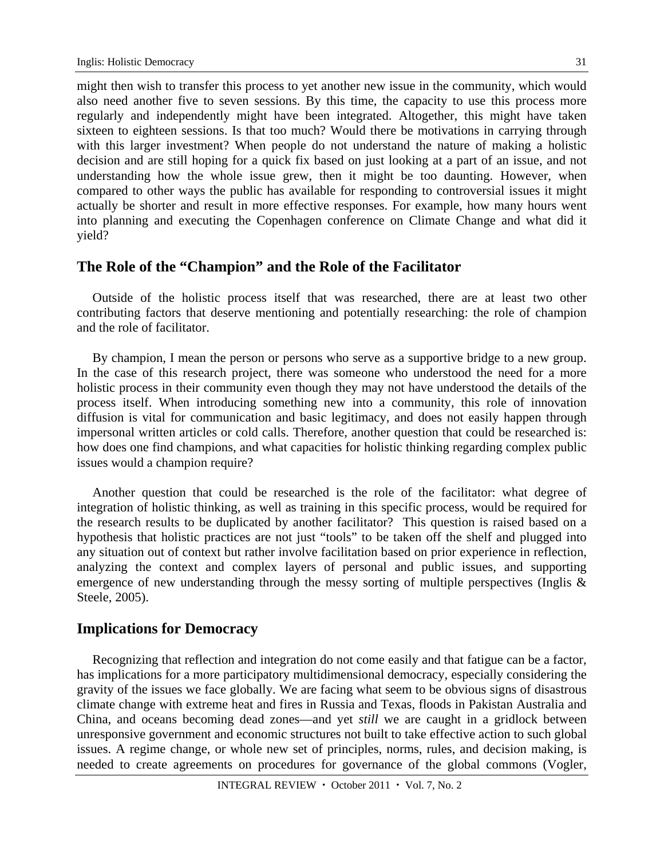might then wish to transfer this process to yet another new issue in the community, which would also need another five to seven sessions. By this time, the capacity to use this process more regularly and independently might have been integrated. Altogether, this might have taken sixteen to eighteen sessions. Is that too much? Would there be motivations in carrying through with this larger investment? When people do not understand the nature of making a holistic decision and are still hoping for a quick fix based on just looking at a part of an issue, and not understanding how the whole issue grew, then it might be too daunting. However, when compared to other ways the public has available for responding to controversial issues it might actually be shorter and result in more effective responses. For example, how many hours went into planning and executing the Copenhagen conference on Climate Change and what did it yield?

### **The Role of the "Champion" and the Role of the Facilitator**

Outside of the holistic process itself that was researched, there are at least two other contributing factors that deserve mentioning and potentially researching: the role of champion and the role of facilitator.

By champion, I mean the person or persons who serve as a supportive bridge to a new group. In the case of this research project, there was someone who understood the need for a more holistic process in their community even though they may not have understood the details of the process itself. When introducing something new into a community, this role of innovation diffusion is vital for communication and basic legitimacy, and does not easily happen through impersonal written articles or cold calls. Therefore, another question that could be researched is: how does one find champions, and what capacities for holistic thinking regarding complex public issues would a champion require?

Another question that could be researched is the role of the facilitator: what degree of integration of holistic thinking, as well as training in this specific process, would be required for the research results to be duplicated by another facilitator? This question is raised based on a hypothesis that holistic practices are not just "tools" to be taken off the shelf and plugged into any situation out of context but rather involve facilitation based on prior experience in reflection, analyzing the context and complex layers of personal and public issues, and supporting emergence of new understanding through the messy sorting of multiple perspectives (Inglis & Steele, 2005).

### **Implications for Democracy**

Recognizing that reflection and integration do not come easily and that fatigue can be a factor, has implications for a more participatory multidimensional democracy, especially considering the gravity of the issues we face globally. We are facing what seem to be obvious signs of disastrous climate change with extreme heat and fires in Russia and Texas, floods in Pakistan Australia and China, and oceans becoming dead zones—and yet *still* we are caught in a gridlock between unresponsive government and economic structures not built to take effective action to such global issues. A regime change, or whole new set of principles, norms, rules, and decision making, is needed to create agreements on procedures for governance of the global commons (Vogler,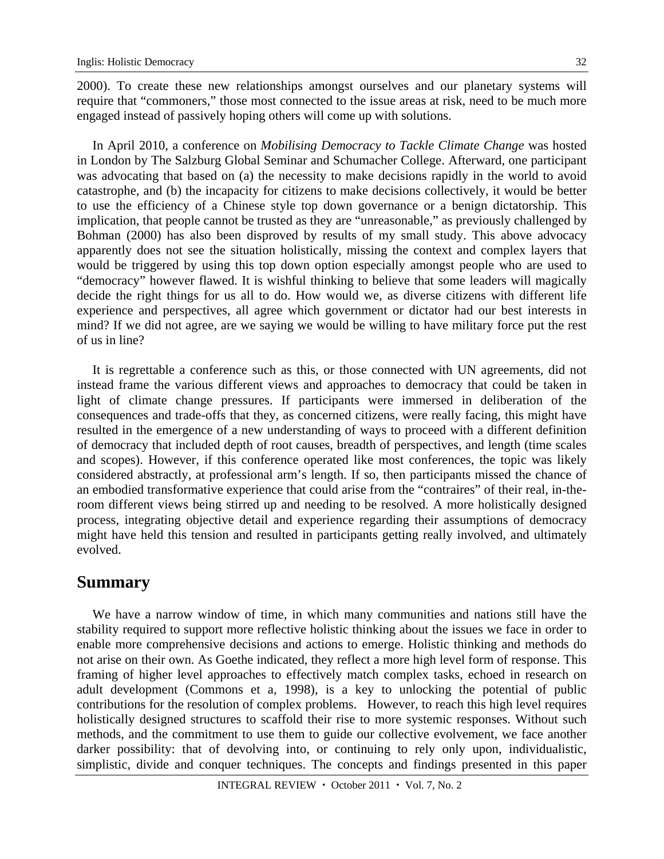2000). To create these new relationships amongst ourselves and our planetary systems will require that "commoners," those most connected to the issue areas at risk, need to be much more engaged instead of passively hoping others will come up with solutions.

In April 2010, a conference on *Mobilising Democracy to Tackle Climate Change* was hosted in London by The Salzburg Global Seminar and Schumacher College. Afterward, one participant was advocating that based on (a) the necessity to make decisions rapidly in the world to avoid catastrophe, and (b) the incapacity for citizens to make decisions collectively, it would be better to use the efficiency of a Chinese style top down governance or a benign dictatorship. This implication, that people cannot be trusted as they are "unreasonable," as previously challenged by Bohman (2000) has also been disproved by results of my small study. This above advocacy apparently does not see the situation holistically, missing the context and complex layers that would be triggered by using this top down option especially amongst people who are used to "democracy" however flawed. It is wishful thinking to believe that some leaders will magically decide the right things for us all to do. How would we, as diverse citizens with different life experience and perspectives, all agree which government or dictator had our best interests in mind? If we did not agree, are we saying we would be willing to have military force put the rest of us in line?

It is regrettable a conference such as this, or those connected with UN agreements, did not instead frame the various different views and approaches to democracy that could be taken in light of climate change pressures. If participants were immersed in deliberation of the consequences and trade-offs that they, as concerned citizens, were really facing, this might have resulted in the emergence of a new understanding of ways to proceed with a different definition of democracy that included depth of root causes, breadth of perspectives, and length (time scales and scopes). However, if this conference operated like most conferences, the topic was likely considered abstractly, at professional arm's length. If so, then participants missed the chance of an embodied transformative experience that could arise from the "contraires" of their real, in-theroom different views being stirred up and needing to be resolved. A more holistically designed process, integrating objective detail and experience regarding their assumptions of democracy might have held this tension and resulted in participants getting really involved, and ultimately evolved.

## **Summary**

We have a narrow window of time, in which many communities and nations still have the stability required to support more reflective holistic thinking about the issues we face in order to enable more comprehensive decisions and actions to emerge. Holistic thinking and methods do not arise on their own. As Goethe indicated, they reflect a more high level form of response. This framing of higher level approaches to effectively match complex tasks, echoed in research on adult development (Commons et a, 1998), is a key to unlocking the potential of public contributions for the resolution of complex problems. However, to reach this high level requires holistically designed structures to scaffold their rise to more systemic responses. Without such methods, and the commitment to use them to guide our collective evolvement, we face another darker possibility: that of devolving into, or continuing to rely only upon, individualistic, simplistic, divide and conquer techniques. The concepts and findings presented in this paper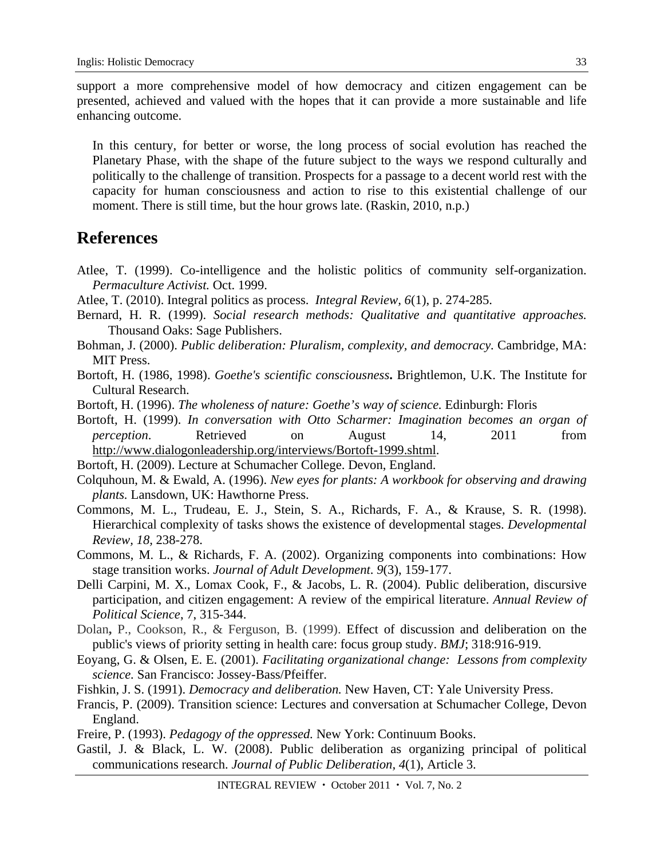support a more comprehensive model of how democracy and citizen engagement can be presented, achieved and valued with the hopes that it can provide a more sustainable and life enhancing outcome.

In this century, for better or worse, the long process of social evolution has reached the Planetary Phase, with the shape of the future subject to the ways we respond culturally and politically to the challenge of transition. Prospects for a passage to a decent world rest with the capacity for human consciousness and action to rise to this existential challenge of our moment. There is still time, but the hour grows late. (Raskin, 2010, n.p.)

## **References**

- Atlee, T. (1999). Co-intelligence and the holistic politics of community self-organization. *Permaculture Activist.* Oct. 1999.
- Atlee, T. (2010). Integral politics as process. *Integral Review, 6*(1), p. 274-285.
- Bernard, H. R. (1999). *Social research methods: Qualitative and quantitative approaches.* Thousand Oaks: Sage Publishers.
- Bohman, J. (2000). *Public deliberation: Pluralism, complexity, and democracy.* Cambridge, MA: MIT Press.
- Bortoft, H. (1986, 1998). *Goethe's scientific consciousness***.** Brightlemon, U.K. The Institute for Cultural Research.
- Bortoft, H. (1996). *The wholeness of nature: Goethe's way of science.* Edinburgh: Floris
- Bortoft, H. (1999). *In conversation with Otto Scharmer: Imagination becomes an organ of perception*. Retrieved on August 14, 2011 from http://www.dialogonleadership.org/interviews/Bortoft-1999.shtml.
- Bortoft, H. (2009). Lecture at Schumacher College. Devon, England.
- Colquhoun, M. & Ewald, A. (1996). *New eyes for plants: A workbook for observing and drawing plants.* Lansdown, UK: Hawthorne Press.
- Commons, M. L., Trudeau, E. J., Stein, S. A., Richards, F. A., & Krause, S. R. (1998). Hierarchical complexity of tasks shows the existence of developmental stages. *Developmental Review, 18,* 238-278.
- Commons, M. L., & Richards, F. A. (2002). Organizing components into combinations: How stage transition works. *Journal of Adult Development*. *9*(3), 159-177.
- Delli Carpini, M. X., Lomax Cook, F., & Jacobs, L. R. (2004). Public deliberation, discursive participation, and citizen engagement: A review of the empirical literature. *Annual Review of Political Science*, 7, 315-344.
- Dolan**,** P., Cookson, R., & Ferguson, B. (1999). Effect of discussion and deliberation on the public's views of priority setting in health care: focus group study. *BMJ*; 318:916-919.
- Eoyang, G. & Olsen, E. E. (2001). *Facilitating organizational change: Lessons from complexity science.* San Francisco: Jossey-Bass/Pfeiffer.
- Fishkin, J. S. (1991). *Democracy and deliberation.* New Haven, CT: Yale University Press.
- Francis, P. (2009). Transition science: Lectures and conversation at Schumacher College, Devon England.
- Freire, P. (1993). *Pedagogy of the oppressed.* New York: Continuum Books.
- Gastil, J. & Black, L. W. (2008). Public deliberation as organizing principal of political communications research. *Journal of Public Deliberation, 4*(1), Article 3.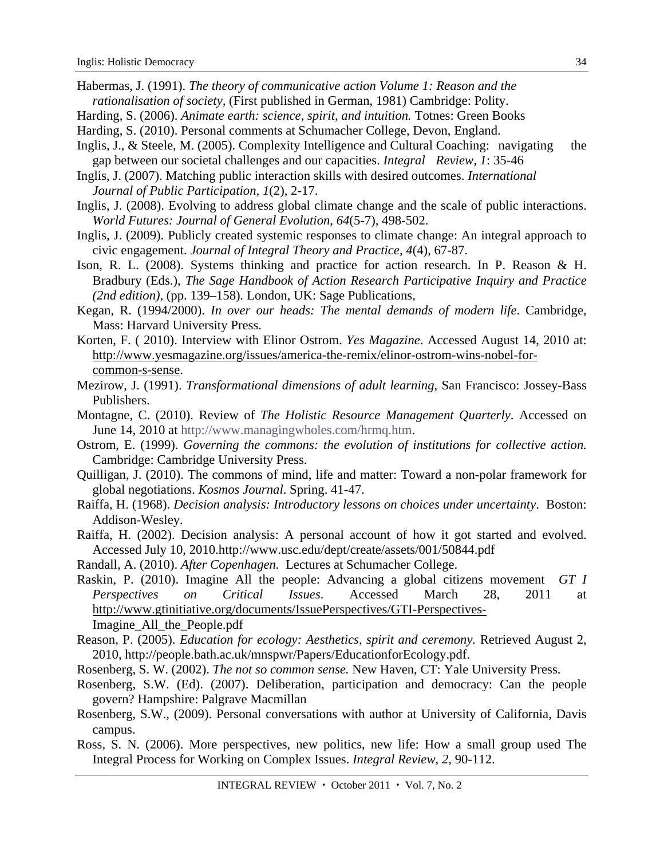- Habermas, J. (1991). *The theory of communicative action Volume 1: Reason and the rationalisation of society,* (First published in German, 1981) Cambridge: Polity.
- Harding, S. (2006). *Animate earth: science, spirit, and intuition.* Totnes: Green Books
- Harding, S. (2010). Personal comments at Schumacher College, Devon, England.
- Inglis, J., & Steele, M. (2005). Complexity Intelligence and Cultural Coaching: navigating the gap between our societal challenges and our capacities. *Integral Review, 1*: 35-46
- Inglis, J. (2007). Matching public interaction skills with desired outcomes. *International Journal of Public Participation, 1*(2), 2-17.
- Inglis, J. (2008). Evolving to address global climate change and the scale of public interactions. *World Futures: Journal of General Evolution*, *64*(5-7), 498-502.
- Inglis, J. (2009). Publicly created systemic responses to climate change: An integral approach to civic engagement. *Journal of Integral Theory and Practice, 4*(4), 67-87.
- Ison, R. L. (2008). Systems thinking and practice for action research. In P. Reason & H. Bradbury (Eds.), *The Sage Handbook of Action Research Participative Inquiry and Practice (2nd edition),* (pp. 139–158)*.* London, UK: Sage Publications,
- Kegan, R. (1994/2000). *In over our heads: The mental demands of modern life*. Cambridge, Mass: Harvard University Press.
- Korten, F. ( 2010). Interview with Elinor Ostrom. *Yes Magazine*. Accessed August 14, 2010 at: http://www.yesmagazine.org/issues/america-the-remix/elinor-ostrom-wins-nobel-forcommon-s-sense.
- Mezirow, J. (1991). *Transformational dimensions of adult learning*, San Francisco: Jossey-Bass Publishers.
- Montagne, C. (2010). Review of *The Holistic Resource Management Quarterly*. Accessed on June 14, 2010 at http://www.managingwholes.com/hrmq.htm.
- Ostrom, E. (1999). *Governing the commons: the evolution of institutions for collective action.*  Cambridge: Cambridge University Press.
- Quilligan, J. (2010). The commons of mind, life and matter: Toward a non-polar framework for global negotiations. *Kosmos Journal*. Spring. 41-47.
- Raiffa, H. (1968). *Decision analysis: Introductory lessons on choices under uncertainty*. Boston: Addison-Wesley.
- Raiffa, H. (2002). Decision analysis: A personal account of how it got started and evolved. Accessed July 10, 2010.http://www.usc.edu/dept/create/assets/001/50844.pdf
- Randall, A. (2010). *After Copenhagen.* Lectures at Schumacher College.
- Raskin, P. (2010). Imagine All the people: Advancing a global citizens movement *GT I Perspectives on Critical Issues*. Accessed March 28, 2011 at http://www.gtinitiative.org/documents/IssuePerspectives/GTI-Perspectives-Imagine\_All\_the\_People.pdf
- Reason, P. (2005). *Education for ecology: Aesthetics, spirit and ceremony.* Retrieved August 2, 2010, http://people.bath.ac.uk/mnspwr/Papers/EducationforEcology.pdf.
- Rosenberg, S. W. (2002). *The not so common sense.* New Haven, CT: Yale University Press.
- Rosenberg, S.W. (Ed). (2007). Deliberation, participation and democracy: Can the people govern? Hampshire: Palgrave Macmillan
- Rosenberg, S.W., (2009). Personal conversations with author at University of California, Davis campus.
- Ross, S. N. (2006). More perspectives, new politics, new life: How a small group used The Integral Process for Working on Complex Issues. *Integral Review*, *2*, 90-112.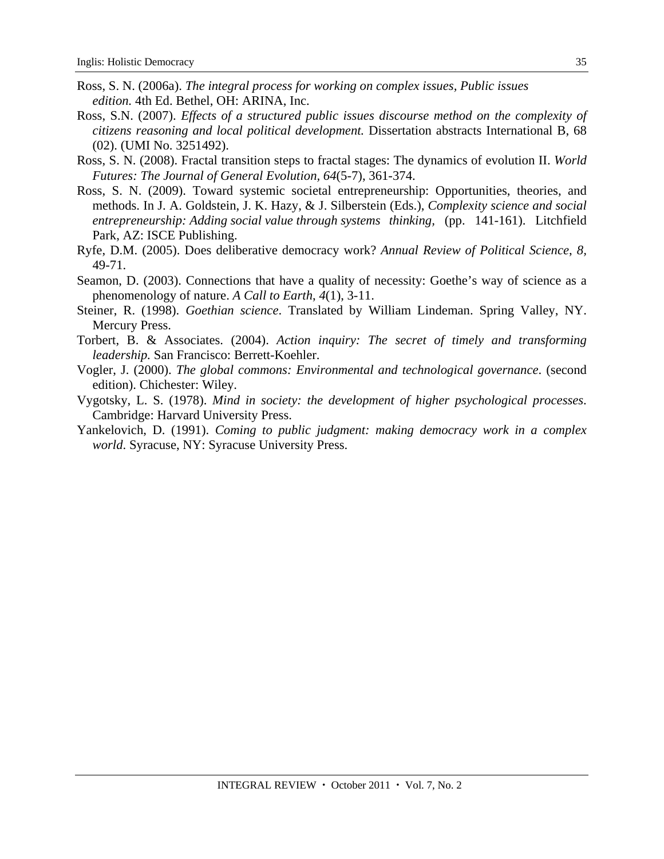- Ross, S. N. (2006a). *The integral process for working on complex issues, Public issues edition.* 4th Ed. Bethel, OH: ARINA, Inc.
- Ross, S.N. (2007). *Effects of a structured public issues discourse method on the complexity of citizens reasoning and local political development.* Dissertation abstracts International B, 68 (02). (UMI No. 3251492).
- Ross, S. N. (2008). Fractal transition steps to fractal stages: The dynamics of evolution II. *World Futures: The Journal of General Evolution, 64*(5-7), 361-374.
- Ross, S. N. (2009). Toward systemic societal entrepreneurship: Opportunities, theories, and methods. In J. A. Goldstein, J. K. Hazy, & J. Silberstein (Eds.), *Complexity science and social entrepreneurship: Adding social value through systems thinking,* (pp. 141-161). Litchfield Park, AZ: ISCE Publishing.
- Ryfe, D.M. (2005). Does deliberative democracy work? *Annual Review of Political Science*, *8,* 49-71.
- Seamon, D. (2003). Connections that have a quality of necessity: Goethe's way of science as a phenomenology of nature. *A Call to Earth*, *4*(1), 3-11.
- Steiner, R. (1998). *Goethian science*. Translated by William Lindeman. Spring Valley, NY. Mercury Press.
- Torbert, B. & Associates. (2004). *Action inquiry: The secret of timely and transforming leadership.* San Francisco: Berrett-Koehler.
- Vogler, J. (2000). *The global commons: Environmental and technological governance*. (second edition). Chichester: Wiley.
- Vygotsky, L. S. (1978). *Mind in society: the development of higher psychological processes*. Cambridge: Harvard University Press.
- Yankelovich, D. (1991). *Coming to public judgment: making democracy work in a complex world*. Syracuse, NY: Syracuse University Press.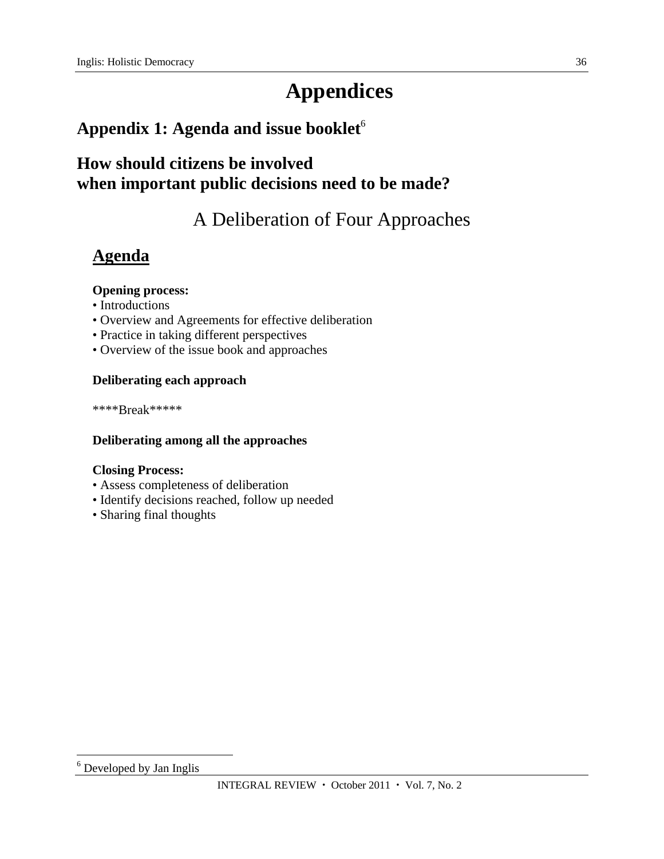# **Appendices**

# Appendix 1: Agenda and issue booklet<sup>6</sup>

# **How should citizens be involved when important public decisions need to be made?**

# A Deliberation of Four Approaches

# **Agenda**

### **Opening process:**

- Introductions
- Overview and Agreements for effective deliberation
- Practice in taking different perspectives
- Overview of the issue book and approaches

### **Deliberating each approach**

\*\*\*\*Break\*\*\*\*\*

### **Deliberating among all the approaches**

### **Closing Process:**

- Assess completeness of deliberation
- Identify decisions reached, follow up needed
- Sharing final thoughts

 $\overline{a}$ <sup>6</sup> Developed by Jan Inglis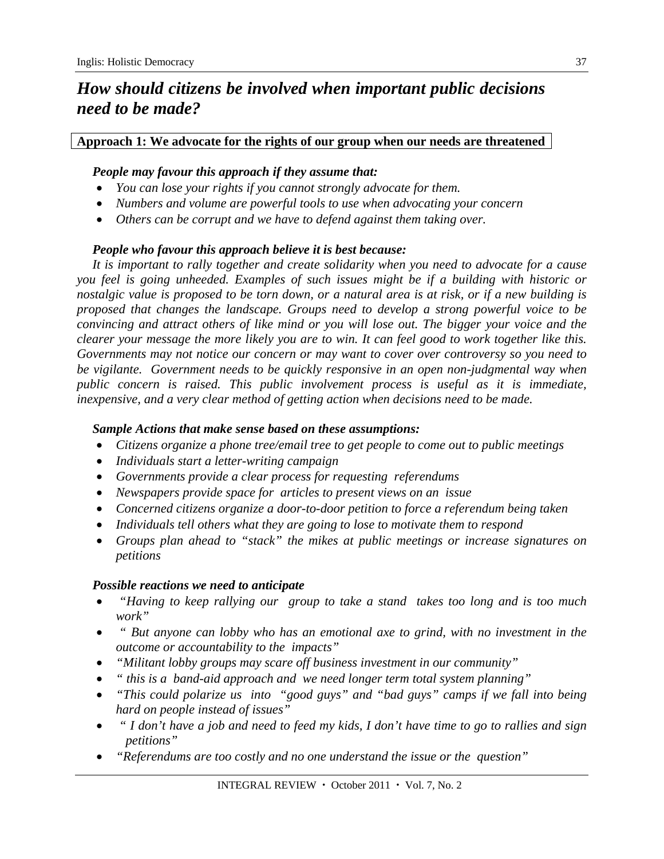# *How should citizens be involved when important public decisions need to be made?*

### **Approach 1: We advocate for the rights of our group when our needs are threatened**

### *People may favour this approach if they assume that:*

- *You can lose your rights if you cannot strongly advocate for them.*
- *Numbers and volume are powerful tools to use when advocating your concern*
- *Others can be corrupt and we have to defend against them taking over.*

### *People who favour this approach believe it is best because:*

*It is important to rally together and create solidarity when you need to advocate for a cause you feel is going unheeded. Examples of such issues might be if a building with historic or nostalgic value is proposed to be torn down, or a natural area is at risk, or if a new building is proposed that changes the landscape. Groups need to develop a strong powerful voice to be convincing and attract others of like mind or you will lose out. The bigger your voice and the clearer your message the more likely you are to win. It can feel good to work together like this. Governments may not notice our concern or may want to cover over controversy so you need to be vigilante. Government needs to be quickly responsive in an open non-judgmental way when public concern is raised. This public involvement process is useful as it is immediate, inexpensive, and a very clear method of getting action when decisions need to be made.* 

### *Sample Actions that make sense based on these assumptions:*

- *Citizens organize a phone tree/email tree to get people to come out to public meetings*
- *Individuals start a letter-writing campaign*
- *Governments provide a clear process for requesting referendums*
- *Newspapers provide space for articles to present views on an issue*
- *Concerned citizens organize a door-to-door petition to force a referendum being taken*
- *Individuals tell others what they are going to lose to motivate them to respond*
- *Groups plan ahead to "stack" the mikes at public meetings or increase signatures on petitions*

### *Possible reactions we need to anticipate*

- *"Having to keep rallying our group to take a stand takes too long and is too much work"*
- *" But anyone can lobby who has an emotional axe to grind, with no investment in the outcome or accountability to the impacts"*
- *"Militant lobby groups may scare off business investment in our community"*
- *" this is a band-aid approach and we need longer term total system planning"*
- *"This could polarize us into "good guys" and "bad guys" camps if we fall into being hard on people instead of issues"*
- *" I don't have a job and need to feed my kids, I don't have time to go to rallies and sign petitions"*
- *"Referendums are too costly and no one understand the issue or the question"*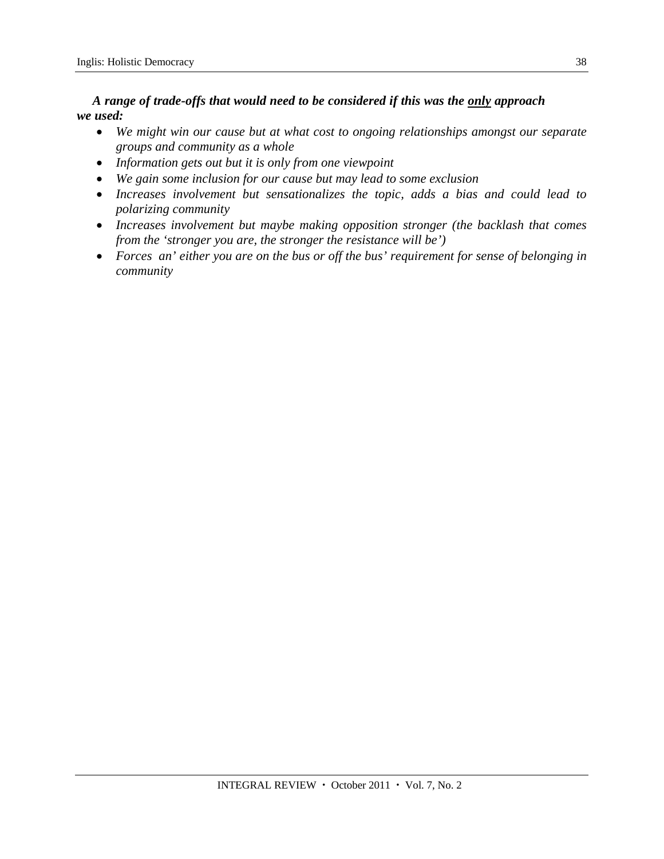*A range of trade-offs that would need to be considered if this was the only approach we used:* 

- *We might win our cause but at what cost to ongoing relationships amongst our separate groups and community as a whole*
- *Information gets out but it is only from one viewpoint*
- *We gain some inclusion for our cause but may lead to some exclusion*
- *Increases involvement but sensationalizes the topic, adds a bias and could lead to polarizing community*
- *Increases involvement but maybe making opposition stronger (the backlash that comes from the 'stronger you are, the stronger the resistance will be')*
- *Forces an' either you are on the bus or off the bus' requirement for sense of belonging in community*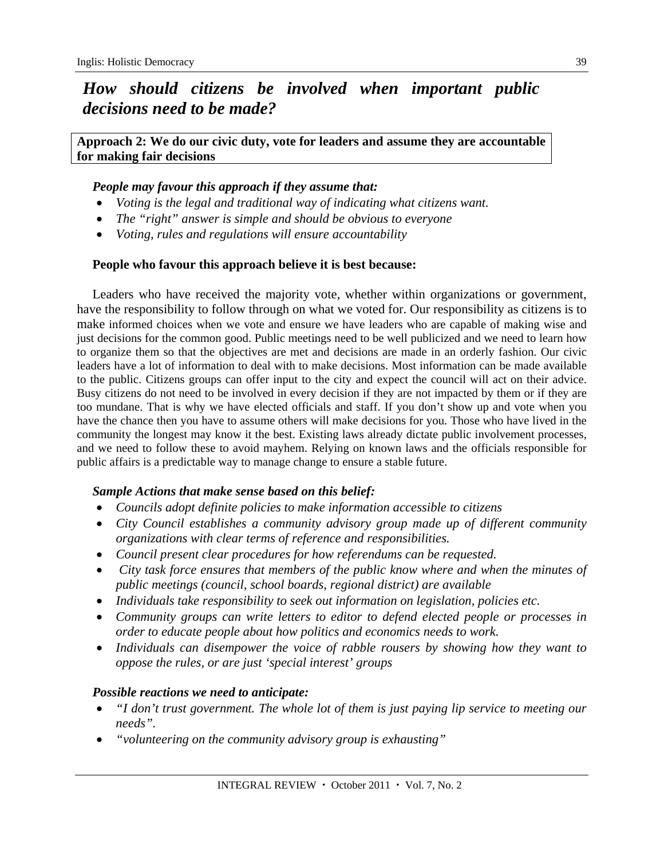# *How should citizens be involved when important public decisions need to be made?*

**Approach 2: We do our civic duty, vote for leaders and assume they are accountable for making fair decisions** 

### *People may favour this approach if they assume that:*

- *Voting is the legal and traditional way of indicating what citizens want.*
- *The "right" answer is simple and should be obvious to everyone*
- *Voting, rules and regulations will ensure accountability*

### **People who favour this approach believe it is best because:**

Leaders who have received the majority vote, whether within organizations or government, have the responsibility to follow through on what we voted for. Our responsibility as citizens is to make informed choices when we vote and ensure we have leaders who are capable of making wise and just decisions for the common good. Public meetings need to be well publicized and we need to learn how to organize them so that the objectives are met and decisions are made in an orderly fashion. Our civic leaders have a lot of information to deal with to make decisions. Most information can be made available to the public. Citizens groups can offer input to the city and expect the council will act on their advice. Busy citizens do not need to be involved in every decision if they are not impacted by them or if they are too mundane. That is why we have elected officials and staff. If you don't show up and vote when you have the chance then you have to assume others will make decisions for you. Those who have lived in the community the longest may know it the best. Existing laws already dictate public involvement processes, and we need to follow these to avoid mayhem. Relying on known laws and the officials responsible for public affairs is a predictable way to manage change to ensure a stable future.

### *Sample Actions that make sense based on this belief:*

- *Councils adopt definite policies to make information accessible to citizens*
- *City Council establishes a community advisory group made up of different community organizations with clear terms of reference and responsibilities.*
- *Council present clear procedures for how referendums can be requested.*
- *City task force ensures that members of the public know where and when the minutes of public meetings (council, school boards, regional district) are available*
- *Individuals take responsibility to seek out information on legislation, policies etc.*
- *Community groups can write letters to editor to defend elected people or processes in order to educate people about how politics and economics needs to work.*
- *Individuals can disempower the voice of rabble rousers by showing how they want to oppose the rules, or are just 'special interest' groups*

### *Possible reactions we need to anticipate:*

- *"I don't trust government. The whole lot of them is just paying lip service to meeting our needs".*
- *"volunteering on the community advisory group is exhausting"*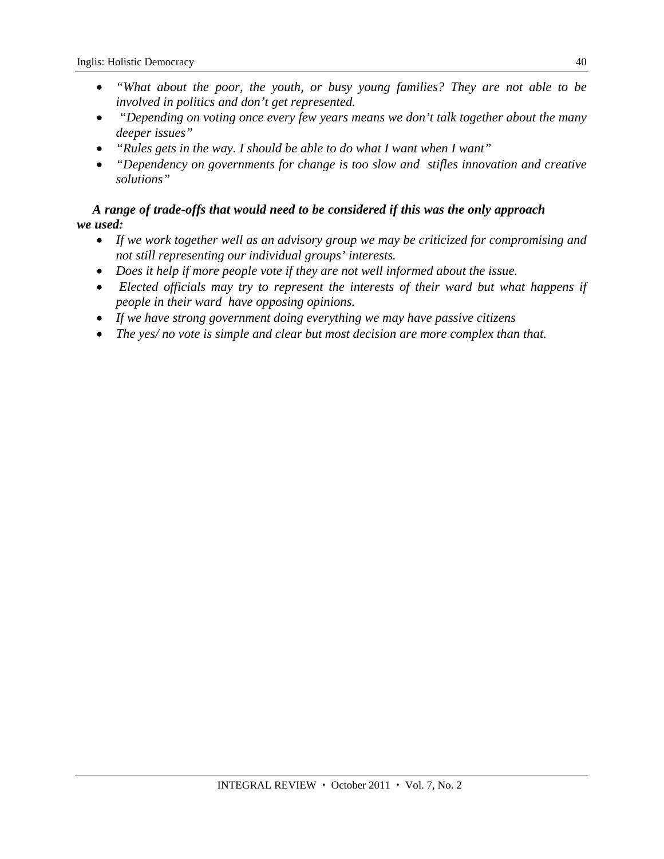- *"What about the poor, the youth, or busy young families? They are not able to be involved in politics and don't get represented.*
- *"Depending on voting once every few years means we don't talk together about the many deeper issues"*
- *"Rules gets in the way. I should be able to do what I want when I want"*
- *"Dependency on governments for change is too slow and stifles innovation and creative solutions"*

### *A range of trade-offs that would need to be considered if this was the only approach we used:*

- *If we work together well as an advisory group we may be criticized for compromising and not still representing our individual groups' interests.*
- *Does it help if more people vote if they are not well informed about the issue.*
- *Elected officials may try to represent the interests of their ward but what happens if people in their ward have opposing opinions.*
- *If we have strong government doing everything we may have passive citizens*
- *The yes/ no vote is simple and clear but most decision are more complex than that.*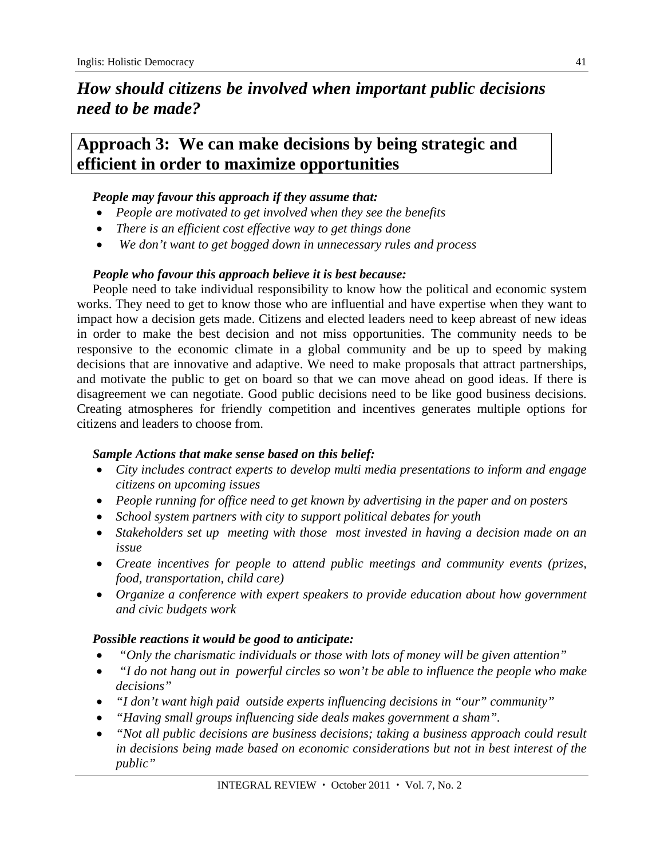# *How should citizens be involved when important public decisions need to be made?*

# **Approach 3: We can make decisions by being strategic and efficient in order to maximize opportunities**

### *People may favour this approach if they assume that:*

- *People are motivated to get involved when they see the benefits*
- *There is an efficient cost effective way to get things done*
- *We don't want to get bogged down in unnecessary rules and process*

### *People who favour this approach believe it is best because:*

People need to take individual responsibility to know how the political and economic system works. They need to get to know those who are influential and have expertise when they want to impact how a decision gets made. Citizens and elected leaders need to keep abreast of new ideas in order to make the best decision and not miss opportunities. The community needs to be responsive to the economic climate in a global community and be up to speed by making decisions that are innovative and adaptive. We need to make proposals that attract partnerships, and motivate the public to get on board so that we can move ahead on good ideas. If there is disagreement we can negotiate. Good public decisions need to be like good business decisions. Creating atmospheres for friendly competition and incentives generates multiple options for citizens and leaders to choose from.

### *Sample Actions that make sense based on this belief:*

- *City includes contract experts to develop multi media presentations to inform and engage citizens on upcoming issues*
- *People running for office need to get known by advertising in the paper and on posters*
- *School system partners with city to support political debates for youth*
- *Stakeholders set up meeting with those most invested in having a decision made on an issue*
- *Create incentives for people to attend public meetings and community events (prizes, food, transportation, child care)*
- *Organize a conference with expert speakers to provide education about how government and civic budgets work*

### *Possible reactions it would be good to anticipate:*

- *"Only the charismatic individuals or those with lots of money will be given attention"*
- *"I do not hang out in powerful circles so won't be able to influence the people who make decisions"*
- *"I don't want high paid outside experts influencing decisions in "our" community"*
- *"Having small groups influencing side deals makes government a sham".*
- *"Not all public decisions are business decisions; taking a business approach could result in decisions being made based on economic considerations but not in best interest of the public"*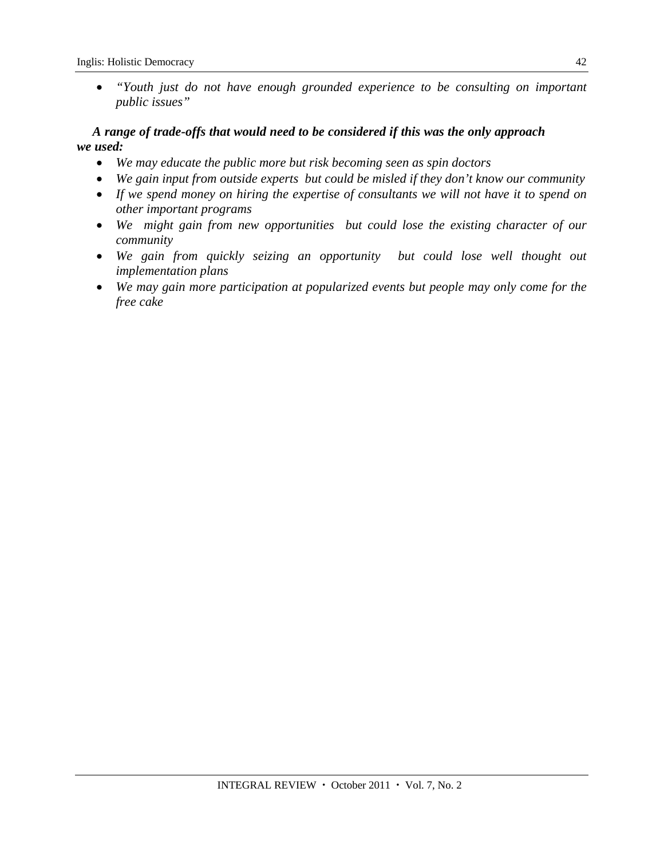*"Youth just do not have enough grounded experience to be consulting on important public issues"*

### *A range of trade-offs that would need to be considered if this was the only approach we used:*

- *We may educate the public more but risk becoming seen as spin doctors*
- *We gain input from outside experts but could be misled if they don't know our community*
- *If we spend money on hiring the expertise of consultants we will not have it to spend on other important programs*
- *We might gain from new opportunities but could lose the existing character of our community*
- We gain from quickly seizing an opportunity but could lose well thought out *implementation plans*
- *We may gain more participation at popularized events but people may only come for the free cake*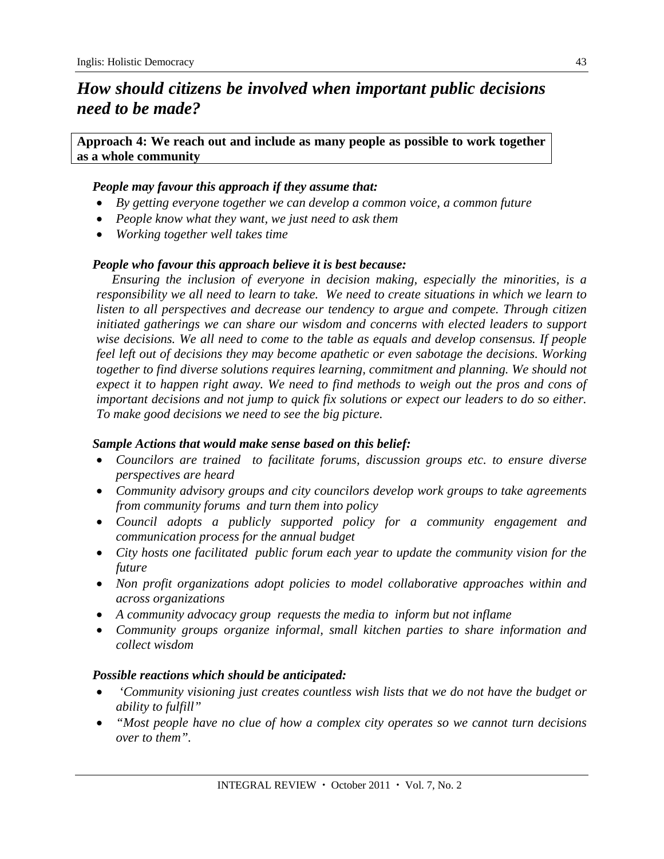# *How should citizens be involved when important public decisions need to be made?*

**Approach 4: We reach out and include as many people as possible to work together as a whole community** 

### *People may favour this approach if they assume that:*

- *By getting everyone together we can develop a common voice, a common future*
- *People know what they want, we just need to ask them*
- *Working together well takes time*

### *People who favour this approach believe it is best because:*

*Ensuring the inclusion of everyone in decision making, especially the minorities, is a responsibility we all need to learn to take. We need to create situations in which we learn to listen to all perspectives and decrease our tendency to argue and compete. Through citizen initiated gatherings we can share our wisdom and concerns with elected leaders to support wise decisions. We all need to come to the table as equals and develop consensus. If people feel left out of decisions they may become apathetic or even sabotage the decisions. Working together to find diverse solutions requires learning, commitment and planning. We should not expect it to happen right away. We need to find methods to weigh out the pros and cons of important decisions and not jump to quick fix solutions or expect our leaders to do so either. To make good decisions we need to see the big picture.* 

### *Sample Actions that would make sense based on this belief:*

- *Councilors are trained to facilitate forums, discussion groups etc. to ensure diverse perspectives are heard*
- *Community advisory groups and city councilors develop work groups to take agreements from community forums and turn them into policy*
- *Council adopts a publicly supported policy for a community engagement and communication process for the annual budget*
- *City hosts one facilitated public forum each year to update the community vision for the future*
- *Non profit organizations adopt policies to model collaborative approaches within and across organizations*
- *A community advocacy group requests the media to inform but not inflame*
- *Community groups organize informal, small kitchen parties to share information and collect wisdom*

### *Possible reactions which should be anticipated:*

- *'Community visioning just creates countless wish lists that we do not have the budget or ability to fulfill"*
- *"Most people have no clue of how a complex city operates so we cannot turn decisions over to them".*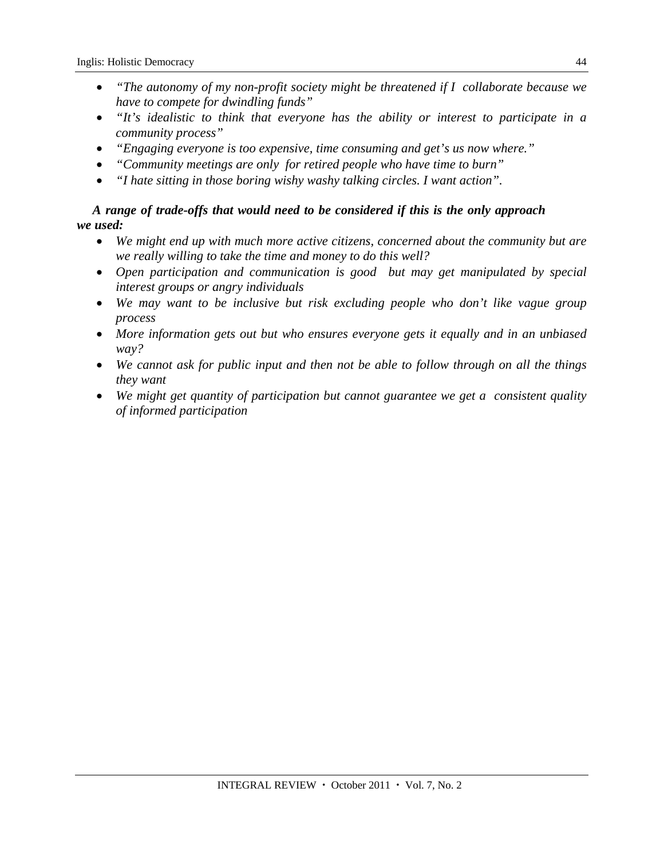- *"The autonomy of my non-profit society might be threatened if I collaborate because we have to compete for dwindling funds"*
- *"It's idealistic to think that everyone has the ability or interest to participate in a community process"*
- *"Engaging everyone is too expensive, time consuming and get's us now where."*
- *"Community meetings are only for retired people who have time to burn"*
- *"I hate sitting in those boring wishy washy talking circles. I want action".*

### *A range of trade-offs that would need to be considered if this is the only approach we used:*

- *We might end up with much more active citizens, concerned about the community but are we really willing to take the time and money to do this well?*
- *Open participation and communication is good but may get manipulated by special interest groups or angry individuals*
- *We may want to be inclusive but risk excluding people who don't like vague group process*
- *More information gets out but who ensures everyone gets it equally and in an unbiased way?*
- *We cannot ask for public input and then not be able to follow through on all the things they want*
- *We might get quantity of participation but cannot guarantee we get a consistent quality of informed participation*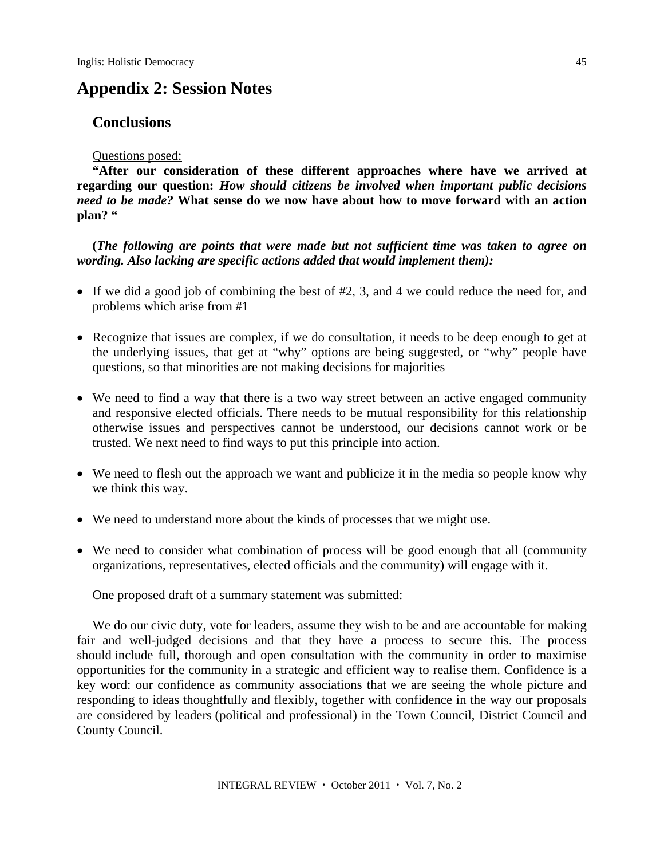# **Appendix 2: Session Notes**

### **Conclusions**

### Questions posed:

**"After our consideration of these different approaches where have we arrived at regarding our question:** *How should citizens be involved when important public decisions need to be made?* **What sense do we now have about how to move forward with an action plan? "** 

**(***The following are points that were made but not sufficient time was taken to agree on wording. Also lacking are specific actions added that would implement them):* 

- If we did a good job of combining the best of  $#2$ , 3, and 4 we could reduce the need for, and problems which arise from #1
- Recognize that issues are complex, if we do consultation, it needs to be deep enough to get at the underlying issues, that get at "why" options are being suggested, or "why" people have questions, so that minorities are not making decisions for majorities
- We need to find a way that there is a two way street between an active engaged community and responsive elected officials. There needs to be mutual responsibility for this relationship otherwise issues and perspectives cannot be understood, our decisions cannot work or be trusted. We next need to find ways to put this principle into action.
- We need to flesh out the approach we want and publicize it in the media so people know why we think this way.
- We need to understand more about the kinds of processes that we might use.
- We need to consider what combination of process will be good enough that all (community organizations, representatives, elected officials and the community) will engage with it.

One proposed draft of a summary statement was submitted:

We do our civic duty, vote for leaders, assume they wish to be and are accountable for making fair and well-judged decisions and that they have a process to secure this. The process should include full, thorough and open consultation with the community in order to maximise opportunities for the community in a strategic and efficient way to realise them. Confidence is a key word: our confidence as community associations that we are seeing the whole picture and responding to ideas thoughtfully and flexibly, together with confidence in the way our proposals are considered by leaders (political and professional) in the Town Council, District Council and County Council.